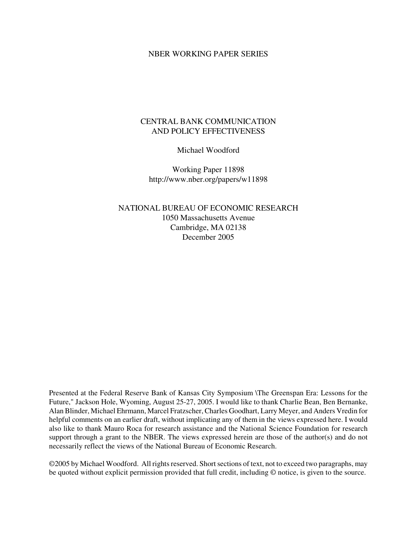#### NBER WORKING PAPER SERIES

#### CENTRAL BANK COMMUNICATION AND POLICY EFFECTIVENESS

Michael Woodford

Working Paper 11898 http://www.nber.org/papers/w11898

NATIONAL BUREAU OF ECONOMIC RESEARCH 1050 Massachusetts Avenue Cambridge, MA 02138 December 2005

Presented at the Federal Reserve Bank of Kansas City Symposium \The Greenspan Era: Lessons for the Future," Jackson Hole, Wyoming, August 25-27, 2005. I would like to thank Charlie Bean, Ben Bernanke, Alan Blinder, Michael Ehrmann, Marcel Fratzscher,Charles Goodhart, Larry Meyer, and Anders Vredin for helpful comments on an earlier draft, without implicating any of them in the views expressed here. I would also like to thank Mauro Roca for research assistance and the National Science Foundation for research support through a grant to the NBER. The views expressed herein are those of the author(s) and do not necessarily reflect the views of the National Bureau of Economic Research.

©2005 by Michael Woodford. All rights reserved. Short sections of text, not to exceed two paragraphs, may be quoted without explicit permission provided that full credit, including © notice, is given to the source.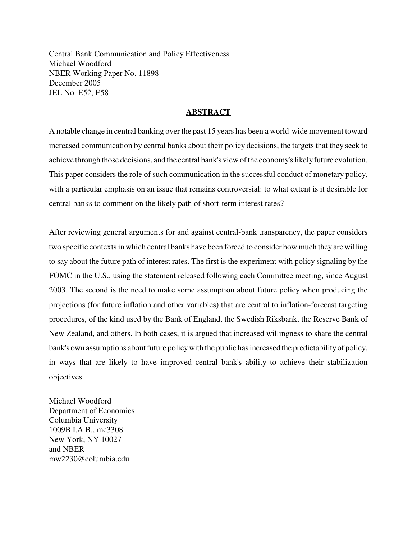Central Bank Communication and Policy Effectiveness Michael Woodford NBER Working Paper No. 11898 December 2005 JEL No. E52, E58

#### **ABSTRACT**

A notable change in central banking over the past 15 years has been a world-wide movement toward increased communication by central banks about their policy decisions, the targets that they seek to achieve through those decisions, and the central bank's view of the economy's likely future evolution. This paper considers the role of such communication in the successful conduct of monetary policy, with a particular emphasis on an issue that remains controversial: to what extent is it desirable for central banks to comment on the likely path of short-term interest rates?

After reviewing general arguments for and against central-bank transparency, the paper considers two specific contexts in which central banks have been forced to consider how much they are willing to say about the future path of interest rates. The first is the experiment with policy signaling by the FOMC in the U.S., using the statement released following each Committee meeting, since August 2003. The second is the need to make some assumption about future policy when producing the projections (for future inflation and other variables) that are central to inflation-forecast targeting procedures, of the kind used by the Bank of England, the Swedish Riksbank, the Reserve Bank of New Zealand, and others. In both cases, it is argued that increased willingness to share the central bank's own assumptions about future policy with the public has increased the predictability of policy, in ways that are likely to have improved central bank's ability to achieve their stabilization objectives.

Michael Woodford Department of Economics Columbia University 1009B I.A.B., mc3308 New York, NY 10027 and NBER mw2230@columbia.edu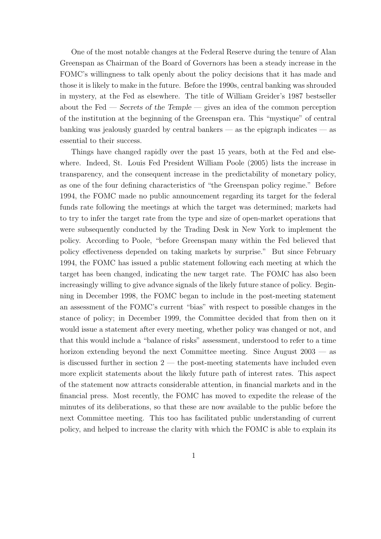One of the most notable changes at the Federal Reserve during the tenure of Alan Greenspan as Chairman of the Board of Governors has been a steady increase in the FOMC's willingness to talk openly about the policy decisions that it has made and those it is likely to make in the future. Before the 1990s, central banking was shrouded in mystery, at the Fed as elsewhere. The title of William Greider's 1987 bestseller about the Fed  $-$  Secrets of the Temple  $-$  gives an idea of the common perception of the institution at the beginning of the Greenspan era. This "mystique" of central banking was jealously guarded by central bankers  $-$  as the epigraph indicates  $-$  as essential to their success.

Things have changed rapidly over the past 15 years, both at the Fed and elsewhere. Indeed, St. Louis Fed President William Poole (2005) lists the increase in transparency, and the consequent increase in the predictability of monetary policy, as one of the four defining characteristics of "the Greenspan policy regime." Before 1994, the FOMC made no public announcement regarding its target for the federal funds rate following the meetings at which the target was determined; markets had to try to infer the target rate from the type and size of open-market operations that were subsequently conducted by the Trading Desk in New York to implement the policy. According to Poole, "before Greenspan many within the Fed believed that policy effectiveness depended on taking markets by surprise." But since February 1994, the FOMC has issued a public statement following each meeting at which the target has been changed, indicating the new target rate. The FOMC has also been increasingly willing to give advance signals of the likely future stance of policy. Beginning in December 1998, the FOMC began to include in the post-meeting statement an assessment of the FOMC's current "bias" with respect to possible changes in the stance of policy; in December 1999, the Committee decided that from then on it would issue a statement after every meeting, whether policy was changed or not, and that this would include a "balance of risks" assessment, understood to refer to a time horizon extending beyond the next Committee meeting. Since August 2003 — as is discussed further in section  $2$  — the post-meeting statements have included even more explicit statements about the likely future path of interest rates. This aspect of the statement now attracts considerable attention, in financial markets and in the financial press. Most recently, the FOMC has moved to expedite the release of the minutes of its deliberations, so that these are now available to the public before the next Committee meeting. This too has facilitated public understanding of current policy, and helped to increase the clarity with which the FOMC is able to explain its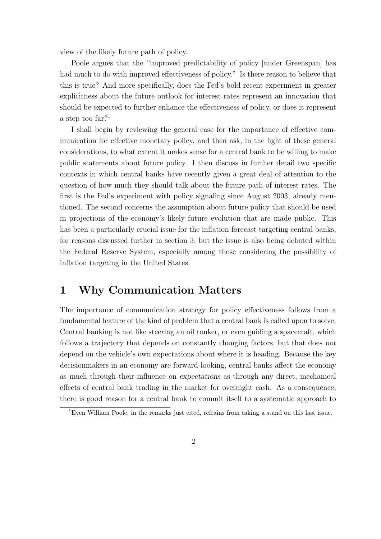view of the likely future path of policy.

Poole argues that the "improved predictability of policy [under Greenspan] has had much to do with improved effectiveness of policy." Is there reason to believe that this is true? And more specifically, does the Fed's bold recent experiment in greater explicitness about the future outlook for interest rates represent an innovation that should be expected to further enhance the effectiveness of policy, or does it represent a step too far?<sup>1</sup>

I shall begin by reviewing the general case for the importance of effective communication for effective monetary policy, and then ask, in the light of these general considerations, to what extent it makes sense for a central bank to be willing to make public statements about future policy. I then discuss in further detail two specific contexts in which central banks have recently given a great deal of attention to the question of how much they should talk about the future path of interest rates. The first is the Fed's experiment with policy signaling since August 2003, already mentioned. The second concerns the assumption about future policy that should be used in projections of the economy's likely future evolution that are made public. This has been a particularly crucial issue for the inflation-forecast targeting central banks, for reasons discussed further in section 3; but the issue is also being debated within the Federal Reserve System, especially among those considering the possibility of inflation targeting in the United States.

### 1 Why Communication Matters

The importance of communication strategy for policy effectiveness follows from a fundamental feature of the kind of problem that a central bank is called upon to solve. Central banking is not like steering an oil tanker, or even guiding a spacecraft, which follows a trajectory that depends on constantly changing factors, but that does not depend on the vehicle's own expectations about where it is heading. Because the key decisionmakers in an economy are forward-looking, central banks affect the economy as much through their influence on expectations as through any direct, mechanical effects of central bank trading in the market for overnight cash. As a consequence, there is good reason for a central bank to commit itself to a systematic approach to

<sup>&</sup>lt;sup>1</sup>Even William Poole, in the remarks just cited, refrains from taking a stand on this last issue.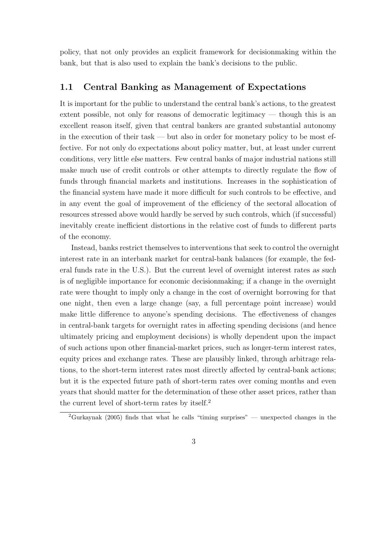policy, that not only provides an explicit framework for decisionmaking within the bank, but that is also used to explain the bank's decisions to the public.

#### 1.1 Central Banking as Management of Expectations

It is important for the public to understand the central bank's actions, to the greatest extent possible, not only for reasons of democratic legitimacy — though this is an excellent reason itself, given that central bankers are granted substantial autonomy in the execution of their task — but also in order for monetary policy to be most effective. For not only do expectations about policy matter, but, at least under current conditions, very little else matters. Few central banks of major industrial nations still make much use of credit controls or other attempts to directly regulate the flow of funds through financial markets and institutions. Increases in the sophistication of the financial system have made it more difficult for such controls to be effective, and in any event the goal of improvement of the efficiency of the sectoral allocation of resources stressed above would hardly be served by such controls, which (if successful) inevitably create inefficient distortions in the relative cost of funds to different parts of the economy.

Instead, banks restrict themselves to interventions that seek to control the overnight interest rate in an interbank market for central-bank balances (for example, the federal funds rate in the U.S.). But the current level of overnight interest rates as such is of negligible importance for economic decisionmaking; if a change in the overnight rate were thought to imply only a change in the cost of overnight borrowing for that one night, then even a large change (say, a full percentage point increase) would make little difference to anyone's spending decisions. The effectiveness of changes in central-bank targets for overnight rates in affecting spending decisions (and hence ultimately pricing and employment decisions) is wholly dependent upon the impact of such actions upon other financial-market prices, such as longer-term interest rates, equity prices and exchange rates. These are plausibly linked, through arbitrage relations, to the short-term interest rates most directly affected by central-bank actions; but it is the expected future path of short-term rates over coming months and even years that should matter for the determination of these other asset prices, rather than the current level of short-term rates by itself.<sup>2</sup>

 ${}^{2}$ Gurkaynak (2005) finds that what he calls "timing surprises" — unexpected changes in the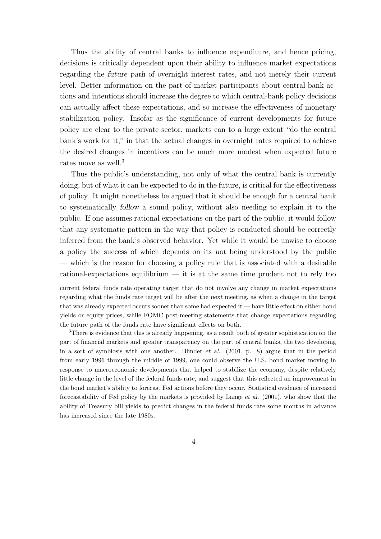Thus the ability of central banks to influence expenditure, and hence pricing, decisions is critically dependent upon their ability to influence market expectations regarding the future path of overnight interest rates, and not merely their current level. Better information on the part of market participants about central-bank actions and intentions should increase the degree to which central-bank policy decisions can actually affect these expectations, and so increase the effectiveness of monetary stabilization policy. Insofar as the significance of current developments for future policy are clear to the private sector, markets can to a large extent "do the central bank's work for it," in that the actual changes in overnight rates required to achieve the desired changes in incentives can be much more modest when expected future rates move as well.<sup>3</sup>

Thus the public's understanding, not only of what the central bank is currently doing, but of what it can be expected to do in the future, is critical for the effectiveness of policy. It might nonetheless be argued that it should be enough for a central bank to systematically follow a sound policy, without also needing to explain it to the public. If one assumes rational expectations on the part of the public, it would follow that any systematic pattern in the way that policy is conducted should be correctly inferred from the bank's observed behavior. Yet while it would be unwise to choose a policy the success of which depends on its not being understood by the public — which is the reason for choosing a policy rule that is associated with a desirable rational-expectations equilibrium — it is at the same time prudent not to rely too

<sup>3</sup>There is evidence that this is already happening, as a result both of greater sophistication on the part of financial markets and greater transparency on the part of central banks, the two developing in a sort of symbiosis with one another. Blinder et al. (2001, p. 8) argue that in the period from early 1996 through the middle of 1999, one could observe the U.S. bond market moving in response to macroeconomic developments that helped to stabilize the economy, despite relatively little change in the level of the federal funds rate, and suggest that this reflected an improvement in the bond market's ability to forecast Fed actions before they occur. Statistical evidence of increased forecastability of Fed policy by the markets is provided by Lange et al. (2001), who show that the ability of Treasury bill yields to predict changes in the federal funds rate some months in advance has increased since the late 1980s.

current federal funds rate operating target that do not involve any change in market expectations regarding what the funds rate target will be after the next meeting, as when a change in the target that was already expected occurs sooner than some had expected it — have little effect on either bond yields or equity prices, while FOMC post-meeting statements that change expectations regarding the future path of the funds rate have significant effects on both.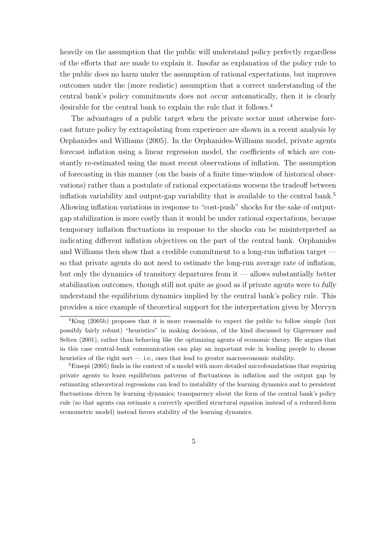heavily on the assumption that the public will understand policy perfectly regardless of the efforts that are made to explain it. Insofar as explanation of the policy rule to the public does no harm under the assumption of rational expectations, but improves outcomes under the (more realistic) assumption that a correct understanding of the central bank's policy commitments does not occur automatically, then it is clearly desirable for the central bank to explain the rule that it follows.<sup>4</sup>

The advantages of a public target when the private sector must otherwise forecast future policy by extrapolating from experience are shown in a recent analysis by Orphanides and Williams (2005). In the Orphanides-Williams model, private agents forecast inflation using a linear regression model, the coefficients of which are constantly re-estimated using the most recent observations of inflation. The assumption of forecasting in this manner (on the basis of a finite time-window of historical observations) rather than a postulate of rational expectations worsens the tradeoff between inflation variability and output-gap variability that is available to the central bank.<sup>5</sup> Allowing inflation variations in response to "cost-push" shocks for the sake of outputgap stabilization is more costly than it would be under rational expectations, because temporary inflation fluctuations in response to the shocks can be misinterpreted as indicating different inflation objectives on the part of the central bank. Orphanides and Williams then show that a credible commitment to a long-run inflation target so that private agents do not need to estimate the long-run average rate of inflation, but only the dynamics of transitory departures from it — allows substantially better stabilization outcomes, though still not quite as good as if private agents were to fully understand the equilibrium dynamics implied by the central bank's policy rule. This provides a nice example of theoretical support for the interpretation given by Mervyn

<sup>4</sup>King (2005b) proposes that it is more reasonable to expect the public to follow simple (but possibly fairly robust) "heuristics" in making decisions, of the kind discussed by Gigerenzer and Selten (2001), rather than behaving like the optimizing agents of economic theory. He argues that in this case central-bank communication can play an important role in leading people to choose heuristics of the right sort  $-$  *i.e.*, ones that lead to greater macroeconomic stability.

 ${}^{5}$ Eusepi (2005) finds in the context of a model with more detailed microfoundations that requiring private agents to learn equilibrium patterns of fluctuations in inflation and the output gap by estimating atheoretical regressions can lead to instability of the learning dynamics and to persistent fluctuations driven by learning dynamics; transparency about the form of the central bank's policy rule (so that agents can estimate a correctly specified structural equation instead of a reduced-form econometric model) instead favors stability of the learning dynamics.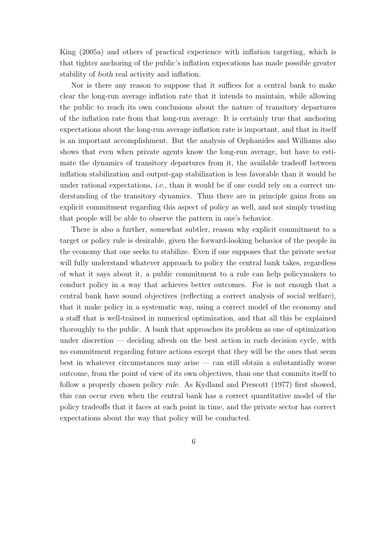King (2005a) and others of practical experience with inflation targeting, which is that tighter anchoring of the public's inflation expecations has made possible greater stability of both real activity and inflation.

Nor is there any reason to suppose that it suffices for a central bank to make clear the long-run average inflation rate that it intends to maintain, while allowing the public to reach its own conclusions about the nature of transitory departures of the inflation rate from that long-run average. It is certainly true that anchoring expectations about the long-run average inflation rate is important, and that in itself is an important accomplishment. But the analysis of Orphanides and Williams also shows that even when private agents know the long-run average, but have to estimate the dynamics of transitory departures from it, the available tradeoff between inflation stabilization and output-gap stabilization is less favorable than it would be under rational expectations, i.e., than it would be if one could rely on a correct understanding of the transitory dynamics. Thus there are in principle gains from an explicit commitment regarding this aspect of policy as well, and not simply trusting that people will be able to observe the pattern in one's behavior.

There is also a further, somewhat subtler, reason why explicit commitment to a target or policy rule is desirable, given the forward-looking behavior of the people in the economy that one seeks to stabilize. Even if one supposes that the private sector will fully understand whatever approach to policy the central bank takes, regardless of what it says about it, a public commitment to a rule can help policymakers to conduct policy in a way that achieves better outcomes. For is not enough that a central bank have sound objectives (reflecting a correct analysis of social welfare), that it make policy in a systematic way, using a correct model of the economy and a staff that is well-trained in numerical optimization, and that all this be explained thoroughly to the public. A bank that approaches its problem as one of optimization under discretion — deciding afresh on the best action in each decision cycle, with no commitment regarding future actions except that they will be the ones that seem best in whatever circumstances may arise — can still obtain a substantially worse outcome, from the point of view of its own objectives, than one that commits itself to follow a properly chosen policy rule. As Kydland and Prescott (1977) first showed, this can occur even when the central bank has a correct quantitative model of the policy tradeoffs that it faces at each point in time, and the private sector has correct expectations about the way that policy will be conducted.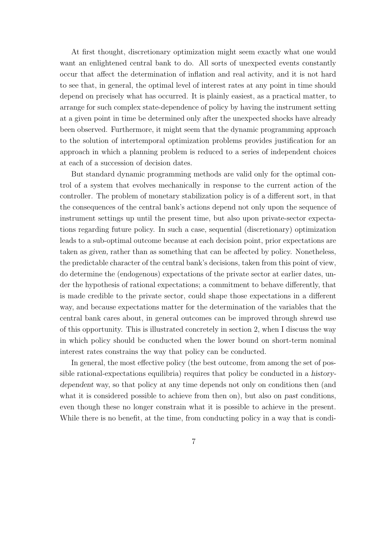At first thought, discretionary optimization might seem exactly what one would want an enlightened central bank to do. All sorts of unexpected events constantly occur that affect the determination of inflation and real activity, and it is not hard to see that, in general, the optimal level of interest rates at any point in time should depend on precisely what has occurred. It is plainly easiest, as a practical matter, to arrange for such complex state-dependence of policy by having the instrument setting at a given point in time be determined only after the unexpected shocks have already been observed. Furthermore, it might seem that the dynamic programming approach to the solution of intertemporal optimization problems provides justification for an approach in which a planning problem is reduced to a series of independent choices at each of a succession of decision dates.

But standard dynamic programming methods are valid only for the optimal control of a system that evolves mechanically in response to the current action of the controller. The problem of monetary stabilization policy is of a different sort, in that the consequences of the central bank's actions depend not only upon the sequence of instrument settings up until the present time, but also upon private-sector expectations regarding future policy. In such a case, sequential (discretionary) optimization leads to a sub-optimal outcome because at each decision point, prior expectations are taken as given, rather than as something that can be affected by policy. Nonetheless, the predictable character of the central bank's decisions, taken from this point of view, do determine the (endogenous) expectations of the private sector at earlier dates, under the hypothesis of rational expectations; a commitment to behave differently, that is made credible to the private sector, could shape those expectations in a different way, and because expectations matter for the determination of the variables that the central bank cares about, in general outcomes can be improved through shrewd use of this opportunity. This is illustrated concretely in section 2, when I discuss the way in which policy should be conducted when the lower bound on short-term nominal interest rates constrains the way that policy can be conducted.

In general, the most effective policy (the best outcome, from among the set of possible rational-expectations equilibria) requires that policy be conducted in a historydependent way, so that policy at any time depends not only on conditions then (and what it is considered possible to achieve from then on), but also on *past* conditions, even though these no longer constrain what it is possible to achieve in the present. While there is no benefit, at the time, from conducting policy in a way that is condi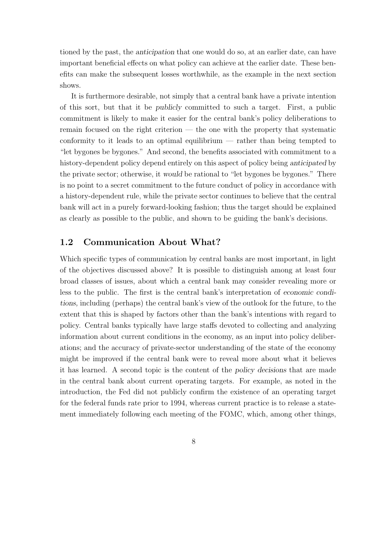tioned by the past, the anticipation that one would do so, at an earlier date, can have important beneficial effects on what policy can achieve at the earlier date. These benefits can make the subsequent losses worthwhile, as the example in the next section shows.

It is furthermore desirable, not simply that a central bank have a private intention of this sort, but that it be publicly committed to such a target. First, a public commitment is likely to make it easier for the central bank's policy deliberations to remain focused on the right criterion — the one with the property that systematic conformity to it leads to an optimal equilibrium  $-$  rather than being tempted to "let bygones be bygones." And second, the benefits associated with commitment to a history-dependent policy depend entirely on this aspect of policy being anticipated by the private sector; otherwise, it would be rational to "let bygones be bygones." There is no point to a secret commitment to the future conduct of policy in accordance with a history-dependent rule, while the private sector continues to believe that the central bank will act in a purely forward-looking fashion; thus the target should be explained as clearly as possible to the public, and shown to be guiding the bank's decisions.

#### 1.2 Communication About What?

Which specific types of communication by central banks are most important, in light of the objectives discussed above? It is possible to distinguish among at least four broad classes of issues, about which a central bank may consider revealing more or less to the public. The first is the central bank's interpretation of economic conditions, including (perhaps) the central bank's view of the outlook for the future, to the extent that this is shaped by factors other than the bank's intentions with regard to policy. Central banks typically have large staffs devoted to collecting and analyzing information about current conditions in the economy, as an input into policy deliberations; and the accuracy of private-sector understanding of the state of the economy might be improved if the central bank were to reveal more about what it believes it has learned. A second topic is the content of the policy decisions that are made in the central bank about current operating targets. For example, as noted in the introduction, the Fed did not publicly confirm the existence of an operating target for the federal funds rate prior to 1994, whereas current practice is to release a statement immediately following each meeting of the FOMC, which, among other things,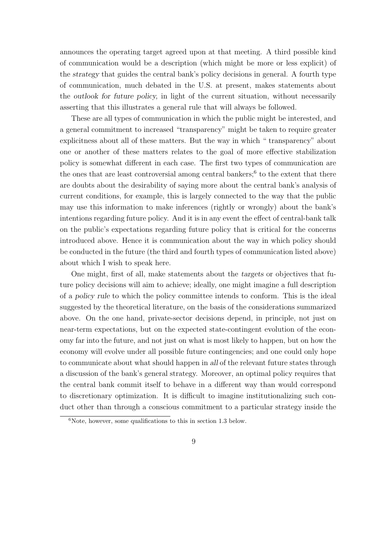announces the operating target agreed upon at that meeting. A third possible kind of communication would be a description (which might be more or less explicit) of the strategy that guides the central bank's policy decisions in general. A fourth type of communication, much debated in the U.S. at present, makes statements about the outlook for future policy, in light of the current situation, without necessarily asserting that this illustrates a general rule that will always be followed.

These are all types of communication in which the public might be interested, and a general commitment to increased "transparency" might be taken to require greater explicitness about all of these matters. But the way in which " transparency" about one or another of these matters relates to the goal of more effective stabilization policy is somewhat different in each case. The first two types of communication are the ones that are least controversial among central bankers;<sup>6</sup> to the extent that there are doubts about the desirability of saying more about the central bank's analysis of current conditions, for example, this is largely connected to the way that the public may use this information to make inferences (rightly or wrongly) about the bank's intentions regarding future policy. And it is in any event the effect of central-bank talk on the public's expectations regarding future policy that is critical for the concerns introduced above. Hence it is communication about the way in which policy should be conducted in the future (the third and fourth types of communication listed above) about which I wish to speak here.

One might, first of all, make statements about the targets or objectives that future policy decisions will aim to achieve; ideally, one might imagine a full description of a policy rule to which the policy committee intends to conform. This is the ideal suggested by the theoretical literature, on the basis of the considerations summarized above. On the one hand, private-sector decisions depend, in principle, not just on near-term expectations, but on the expected state-contingent evolution of the economy far into the future, and not just on what is most likely to happen, but on how the economy will evolve under all possible future contingencies; and one could only hope to communicate about what should happen in all of the relevant future states through a discussion of the bank's general strategy. Moreover, an optimal policy requires that the central bank commit itself to behave in a different way than would correspond to discretionary optimization. It is difficult to imagine institutionalizing such conduct other than through a conscious commitment to a particular strategy inside the

 ${}^{6}$ Note, however, some qualifications to this in section 1.3 below.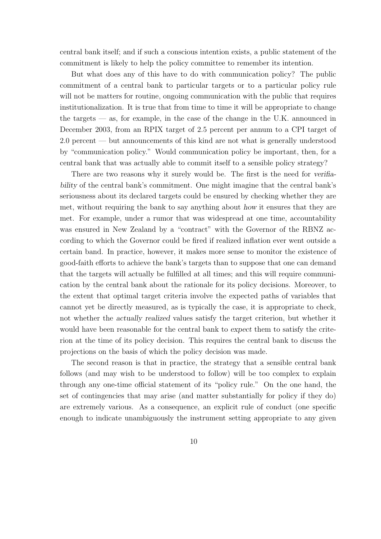central bank itself; and if such a conscious intention exists, a public statement of the commitment is likely to help the policy committee to remember its intention.

But what does any of this have to do with communication policy? The public commitment of a central bank to particular targets or to a particular policy rule will not be matters for routine, ongoing communication with the public that requires institutionalization. It is true that from time to time it will be appropriate to change the targets — as, for example, in the case of the change in the U.K. announced in December 2003, from an RPIX target of 2.5 percent per annum to a CPI target of 2.0 percent — but announcements of this kind are not what is generally understood by "communication policy." Would communication policy be important, then, for a central bank that was actually able to commit itself to a sensible policy strategy?

There are two reasons why it surely would be. The first is the need for verifiability of the central bank's commitment. One might imagine that the central bank's seriousness about its declared targets could be ensured by checking whether they are met, without requiring the bank to say anything about how it ensures that they are met. For example, under a rumor that was widespread at one time, accountability was ensured in New Zealand by a "contract" with the Governor of the RBNZ according to which the Governor could be fired if realized inflation ever went outside a certain band. In practice, however, it makes more sense to monitor the existence of good-faith efforts to achieve the bank's targets than to suppose that one can demand that the targets will actually be fulfilled at all times; and this will require communication by the central bank about the rationale for its policy decisions. Moreover, to the extent that optimal target criteria involve the expected paths of variables that cannot yet be directly measured, as is typically the case, it is appropriate to check, not whether the actually realized values satisfy the target criterion, but whether it would have been reasonable for the central bank to expect them to satisfy the criterion at the time of its policy decision. This requires the central bank to discuss the projections on the basis of which the policy decision was made.

The second reason is that in practice, the strategy that a sensible central bank follows (and may wish to be understood to follow) will be too complex to explain through any one-time official statement of its "policy rule." On the one hand, the set of contingencies that may arise (and matter substantially for policy if they do) are extremely various. As a consequence, an explicit rule of conduct (one specific enough to indicate unambiguously the instrument setting appropriate to any given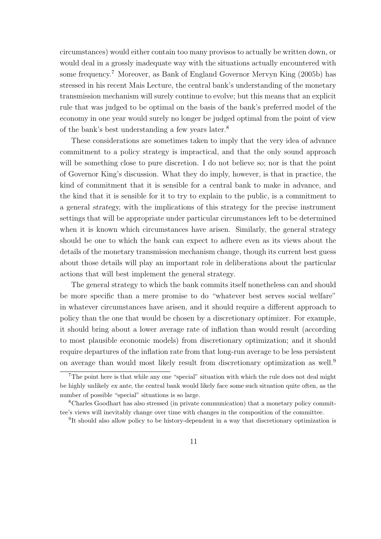circumstances) would either contain too many provisos to actually be written down, or would deal in a grossly inadequate way with the situations actually encountered with some frequency.<sup>7</sup> Moreover, as Bank of England Governor Mervyn King (2005b) has stressed in his recent Mais Lecture, the central bank's understanding of the monetary transmission mechanism will surely continue to evolve; but this means that an explicit rule that was judged to be optimal on the basis of the bank's preferred model of the economy in one year would surely no longer be judged optimal from the point of view of the bank's best understanding a few years later.<sup>8</sup>

These considerations are sometimes taken to imply that the very idea of advance commitment to a policy strategy is impractical, and that the only sound approach will be something close to pure discretion. I do not believe so; nor is that the point of Governor King's discussion. What they do imply, however, is that in practice, the kind of commitment that it is sensible for a central bank to make in advance, and the kind that it is sensible for it to try to explain to the public, is a commitment to a general strategy, with the implications of this strategy for the precise instrument settings that will be appropriate under particular circumstances left to be determined when it is known which circumstances have arisen. Similarly, the general strategy should be one to which the bank can expect to adhere even as its views about the details of the monetary transmission mechanism change, though its current best guess about those details will play an important role in deliberations about the particular actions that will best implement the general strategy.

The general strategy to which the bank commits itself nonetheless can and should be more specific than a mere promise to do "whatever best serves social welfare" in whatever circumstances have arisen, and it should require a different approach to policy than the one that would be chosen by a discretionary optimizer. For example, it should bring about a lower average rate of inflation than would result (according to most plausible economic models) from discretionary optimization; and it should require departures of the inflation rate from that long-run average to be less persistent on average than would most likely result from discretionary optimization as well.<sup>9</sup>

<sup>7</sup>The point here is that while any one "special" situation with which the rule does not deal might be highly unlikely ex ante, the central bank would likely face some such situation quite often, as the number of possible "special" situations is so large.

<sup>8</sup>Charles Goodhart has also stressed (in private communication) that a monetary policy committee's views will inevitably change over time with changes in the composition of the committee.

<sup>&</sup>lt;sup>9</sup>It should also allow policy to be history-dependent in a way that discretionary optimization is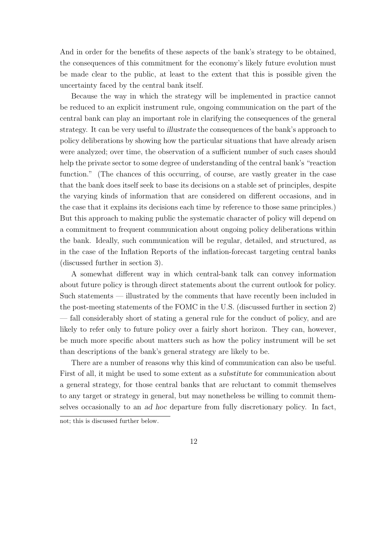And in order for the benefits of these aspects of the bank's strategy to be obtained, the consequences of this commitment for the economy's likely future evolution must be made clear to the public, at least to the extent that this is possible given the uncertainty faced by the central bank itself.

Because the way in which the strategy will be implemented in practice cannot be reduced to an explicit instrument rule, ongoing communication on the part of the central bank can play an important role in clarifying the consequences of the general strategy. It can be very useful to illustrate the consequences of the bank's approach to policy deliberations by showing how the particular situations that have already arisen were analyzed; over time, the observation of a sufficient number of such cases should help the private sector to some degree of understanding of the central bank's "reaction function." (The chances of this occurring, of course, are vastly greater in the case that the bank does itself seek to base its decisions on a stable set of principles, despite the varying kinds of information that are considered on different occasions, and in the case that it explains its decisions each time by reference to those same principles.) But this approach to making public the systematic character of policy will depend on a commitment to frequent communication about ongoing policy deliberations within the bank. Ideally, such communication will be regular, detailed, and structured, as in the case of the Inflation Reports of the inflation-forecast targeting central banks (discussed further in section 3).

A somewhat different way in which central-bank talk can convey information about future policy is through direct statements about the current outlook for policy. Such statements — illustrated by the comments that have recently been included in the post-meeting statements of the FOMC in the U.S. (discussed further in section 2) — fall considerably short of stating a general rule for the conduct of policy, and are likely to refer only to future policy over a fairly short horizon. They can, however, be much more specific about matters such as how the policy instrument will be set than descriptions of the bank's general strategy are likely to be.

There are a number of reasons why this kind of communication can also be useful. First of all, it might be used to some extent as a substitute for communication about a general strategy, for those central banks that are reluctant to commit themselves to any target or strategy in general, but may nonetheless be willing to commit themselves occasionally to an ad hoc departure from fully discretionary policy. In fact,

not; this is discussed further below.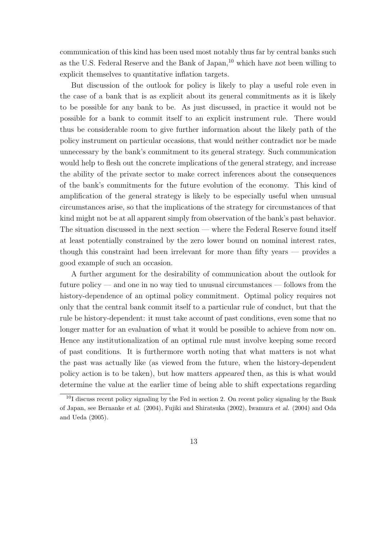communication of this kind has been used most notably thus far by central banks such as the U.S. Federal Reserve and the Bank of Japan,<sup>10</sup> which have not been willing to explicit themselves to quantitative inflation targets.

But discussion of the outlook for policy is likely to play a useful role even in the case of a bank that is as explicit about its general commitments as it is likely to be possible for any bank to be. As just discussed, in practice it would not be possible for a bank to commit itself to an explicit instrument rule. There would thus be considerable room to give further information about the likely path of the policy instrument on particular occasions, that would neither contradict nor be made unnecessary by the bank's commitment to its general strategy. Such communication would help to flesh out the concrete implications of the general strategy, and increase the ability of the private sector to make correct inferences about the consequences of the bank's commitments for the future evolution of the economy. This kind of amplification of the general strategy is likely to be especially useful when unusual circumstances arise, so that the implications of the strategy for circumstances of that kind might not be at all apparent simply from observation of the bank's past behavior. The situation discussed in the next section — where the Federal Reserve found itself at least potentially constrained by the zero lower bound on nominal interest rates, though this constraint had been irrelevant for more than fifty years — provides a good example of such an occasion.

A further argument for the desirability of communication about the outlook for future policy — and one in no way tied to unusual circumstances — follows from the history-dependence of an optimal policy commitment. Optimal policy requires not only that the central bank commit itself to a particular rule of conduct, but that the rule be history-dependent: it must take account of past conditions, even some that no longer matter for an evaluation of what it would be possible to achieve from now on. Hence any institutionalization of an optimal rule must involve keeping some record of past conditions. It is furthermore worth noting that what matters is not what the past was actually like (as viewed from the future, when the history-dependent policy action is to be taken), but how matters appeared then, as this is what would determine the value at the earlier time of being able to shift expectations regarding

<sup>&</sup>lt;sup>10</sup>I discuss recent policy signaling by the Fed in section 2. On recent policy signaling by the Bank of Japan, see Bernanke et al. (2004), Fujiki and Shiratsuka (2002), Iwamura et al. (2004) and Oda and Ueda (2005).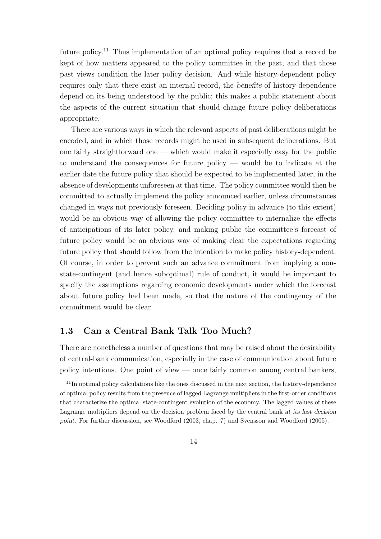future policy.<sup>11</sup> Thus implementation of an optimal policy requires that a record be kept of how matters appeared to the policy committee in the past, and that those past views condition the later policy decision. And while history-dependent policy requires only that there exist an internal record, the benefits of history-dependence depend on its being understood by the public; this makes a public statement about the aspects of the current situation that should change future policy deliberations appropriate.

There are various ways in which the relevant aspects of past deliberations might be encoded, and in which those records might be used in subsequent deliberations. But one fairly straightforward one — which would make it especially easy for the public to understand the consequences for future policy — would be to indicate at the earlier date the future policy that should be expected to be implemented later, in the absence of developments unforeseen at that time. The policy committee would then be committed to actually implement the policy announced earlier, unless circumstances changed in ways not previously foreseen. Deciding policy in advance (to this extent) would be an obvious way of allowing the policy committee to internalize the effects of anticipations of its later policy, and making public the committee's forecast of future policy would be an obvious way of making clear the expectations regarding future policy that should follow from the intention to make policy history-dependent. Of course, in order to prevent such an advance commitment from implying a nonstate-contingent (and hence suboptimal) rule of conduct, it would be important to specify the assumptions regarding economic developments under which the forecast about future policy had been made, so that the nature of the contingency of the commitment would be clear.

#### 1.3 Can a Central Bank Talk Too Much?

There are nonetheless a number of questions that may be raised about the desirability of central-bank communication, especially in the case of communication about future policy intentions. One point of view — once fairly common among central bankers,

 $11$ In optimal policy calculations like the ones discussed in the next section, the history-dependence of optimal policy results from the presence of lagged Lagrange multipliers in the first-order conditions that characterize the optimal state-contingent evolution of the economy. The lagged values of these Lagrange multipliers depend on the decision problem faced by the central bank at its last decision point. For further discussion, see Woodford (2003, chap. 7) and Svensson and Woodford (2005).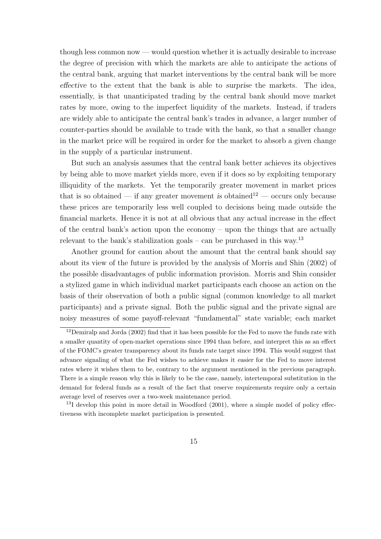though less common now — would question whether it is actually desirable to increase the degree of precision with which the markets are able to anticipate the actions of the central bank, arguing that market interventions by the central bank will be more effective to the extent that the bank is able to surprise the markets. The idea, essentially, is that unanticipated trading by the central bank should move market rates by more, owing to the imperfect liquidity of the markets. Instead, if traders are widely able to anticipate the central bank's trades in advance, a larger number of counter-parties should be available to trade with the bank, so that a smaller change in the market price will be required in order for the market to absorb a given change in the supply of a particular instrument.

But such an analysis assumes that the central bank better achieves its objectives by being able to move market yields more, even if it does so by exploiting temporary illiquidity of the markets. Yet the temporarily greater movement in market prices that is so obtained — if any greater movement is obtained<sup>12</sup> — occurs only because these prices are temporarily less well coupled to decisions being made outside the financial markets. Hence it is not at all obvious that any actual increase in the effect of the central bank's action upon the economy – upon the things that are actually relevant to the bank's stabilization goals – can be purchased in this way.<sup>13</sup>

Another ground for caution about the amount that the central bank should say about its view of the future is provided by the analysis of Morris and Shin (2002) of the possible disadvantages of public information provision. Morris and Shin consider a stylized game in which individual market participants each choose an action on the basis of their observation of both a public signal (common knowledge to all market participants) and a private signal. Both the public signal and the private signal are noisy measures of some payoff-relevant "fundamental" state variable; each market

<sup>&</sup>lt;sup>12</sup>Demiralp and Jorda (2002) find that it has been possible for the Fed to move the funds rate with a smaller quantity of open-market operations since 1994 than before, and interpret this as an effect of the FOMC's greater transparency about its funds rate target since 1994. This would suggest that advance signaling of what the Fed wishes to achieve makes it easier for the Fed to move interest rates where it wishes them to be, contrary to the argument mentioned in the previous paragraph. There is a simple reason why this is likely to be the case, namely, intertemporal substitution in the demand for federal funds as a result of the fact that reserve requirements require only a certain average level of reserves over a two-week maintenance period.

<sup>&</sup>lt;sup>13</sup>I develop this point in more detail in Woodford (2001), where a simple model of policy effectiveness with incomplete market participation is presented.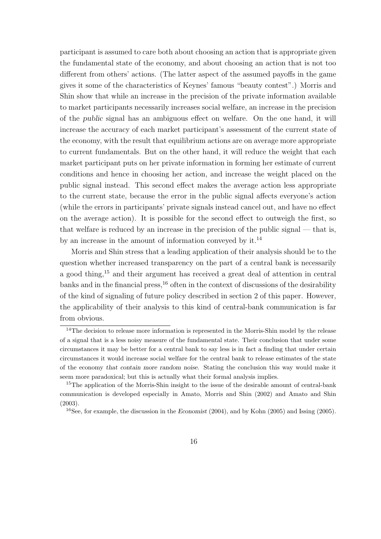participant is assumed to care both about choosing an action that is appropriate given the fundamental state of the economy, and about choosing an action that is not too different from others' actions. (The latter aspect of the assumed payoffs in the game gives it some of the characteristics of Keynes' famous "beauty contest".) Morris and Shin show that while an increase in the precision of the private information available to market participants necessarily increases social welfare, an increase in the precision of the public signal has an ambiguous effect on welfare. On the one hand, it will increase the accuracy of each market participant's assessment of the current state of the economy, with the result that equilibrium actions are on average more appropriate to current fundamentals. But on the other hand, it will reduce the weight that each market participant puts on her private information in forming her estimate of current conditions and hence in choosing her action, and increase the weight placed on the public signal instead. This second effect makes the average action less appropriate to the current state, because the error in the public signal affects everyone's action (while the errors in participants' private signals instead cancel out, and have no effect on the average action). It is possible for the second effect to outweigh the first, so that welfare is reduced by an increase in the precision of the public signal — that is, by an increase in the amount of information conveyed by it.<sup>14</sup>

Morris and Shin stress that a leading application of their analysis should be to the question whether increased transparency on the part of a central bank is necessarily a good thing,<sup>15</sup> and their argument has received a great deal of attention in central banks and in the financial press,  $16$  often in the context of discussions of the desirability of the kind of signaling of future policy described in section 2 of this paper. However, the applicability of their analysis to this kind of central-bank communication is far from obvious.

<sup>&</sup>lt;sup>14</sup>The decision to release more information is represented in the Morris-Shin model by the release of a signal that is a less noisy measure of the fundamental state. Their conclusion that under some circumstances it may be better for a central bank to say less is in fact a finding that under certain circumstances it would increase social welfare for the central bank to release estimates of the state of the economy that contain more random noise. Stating the conclusion this way would make it seem more paradoxical; but this is actually what their formal analysis implies.

<sup>&</sup>lt;sup>15</sup>The application of the Morris-Shin insight to the issue of the desirable amount of central-bank communication is developed especially in Amato, Morris and Shin (2002) and Amato and Shin (2003).

<sup>&</sup>lt;sup>16</sup>See, for example, the discussion in the *Economist* (2004), and by Kohn (2005) and Issing (2005).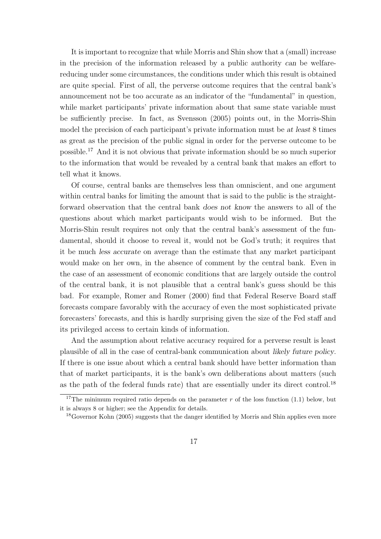It is important to recognize that while Morris and Shin show that a (small) increase in the precision of the information released by a public authority can be welfarereducing under some circumstances, the conditions under which this result is obtained are quite special. First of all, the perverse outcome requires that the central bank's announcement not be too accurate as an indicator of the "fundamental" in question, while market participants' private information about that same state variable must be sufficiently precise. In fact, as Svensson (2005) points out, in the Morris-Shin model the precision of each participant's private information must be at least 8 times as great as the precision of the public signal in order for the perverse outcome to be possible.<sup>17</sup> And it is not obvious that private information should be so much superior to the information that would be revealed by a central bank that makes an effort to tell what it knows.

Of course, central banks are themselves less than omniscient, and one argument within central banks for limiting the amount that is said to the public is the straightforward observation that the central bank does not know the answers to all of the questions about which market participants would wish to be informed. But the Morris-Shin result requires not only that the central bank's assessment of the fundamental, should it choose to reveal it, would not be God's truth; it requires that it be much less accurate on average than the estimate that any market participant would make on her own, in the absence of comment by the central bank. Even in the case of an assessment of economic conditions that are largely outside the control of the central bank, it is not plausible that a central bank's guess should be this bad. For example, Romer and Romer (2000) find that Federal Reserve Board staff forecasts compare favorably with the accuracy of even the most sophisticated private forecasters' forecasts, and this is hardly surprising given the size of the Fed staff and its privileged access to certain kinds of information.

And the assumption about relative accuracy required for a perverse result is least plausible of all in the case of central-bank communication about likely future policy. If there is one issue about which a central bank should have better information than that of market participants, it is the bank's own deliberations about matters (such as the path of the federal funds rate) that are essentially under its direct control.<sup>18</sup>

<sup>&</sup>lt;sup>17</sup>The minimum required ratio depends on the parameter r of the loss function (1.1) below, but it is always 8 or higher; see the Appendix for details.

<sup>18</sup>Governor Kohn (2005) suggests that the danger identified by Morris and Shin applies even more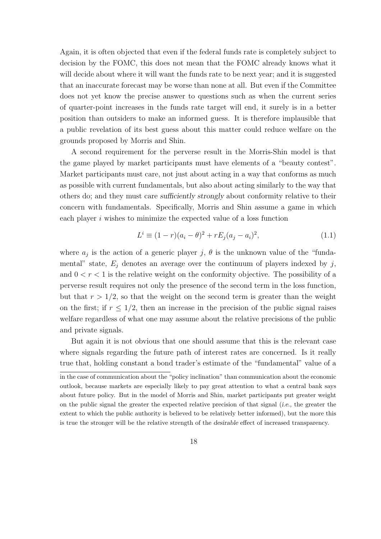Again, it is often objected that even if the federal funds rate is completely subject to decision by the FOMC, this does not mean that the FOMC already knows what it will decide about where it will want the funds rate to be next year; and it is suggested that an inaccurate forecast may be worse than none at all. But even if the Committee does not yet know the precise answer to questions such as when the current series of quarter-point increases in the funds rate target will end, it surely is in a better position than outsiders to make an informed guess. It is therefore implausible that a public revelation of its best guess about this matter could reduce welfare on the grounds proposed by Morris and Shin.

A second requirement for the perverse result in the Morris-Shin model is that the game played by market participants must have elements of a "beauty contest". Market participants must care, not just about acting in a way that conforms as much as possible with current fundamentals, but also about acting similarly to the way that others do; and they must care sufficiently strongly about conformity relative to their concern with fundamentals. Specifically, Morris and Shin assume a game in which each player i wishes to minimize the expected value of a loss function

$$
L^{i} \equiv (1 - r)(a_{i} - \theta)^{2} + rE_{j}(a_{j} - a_{i})^{2}, \qquad (1.1)
$$

where  $a_j$  is the action of a generic player j,  $\theta$  is the unknown value of the "fundamental" state,  $E_i$  denotes an average over the continuum of players indexed by j, and  $0 < r < 1$  is the relative weight on the conformity objective. The possibility of a perverse result requires not only the presence of the second term in the loss function, but that  $r > 1/2$ , so that the weight on the second term is greater than the weight on the first; if  $r \leq 1/2$ , then an increase in the precision of the public signal raises welfare regardless of what one may assume about the relative precisions of the public and private signals.

But again it is not obvious that one should assume that this is the relevant case where signals regarding the future path of interest rates are concerned. Is it really true that, holding constant a bond trader's estimate of the "fundamental" value of a

in the case of communication about the "policy inclination" than communication about the economic outlook, because markets are especially likely to pay great attention to what a central bank says about future policy. But in the model of Morris and Shin, market participants put greater weight on the public signal the greater the expected relative precision of that signal (i.e., the greater the extent to which the public authority is believed to be relatively better informed), but the more this is true the stronger will be the relative strength of the desirable effect of increased transparency.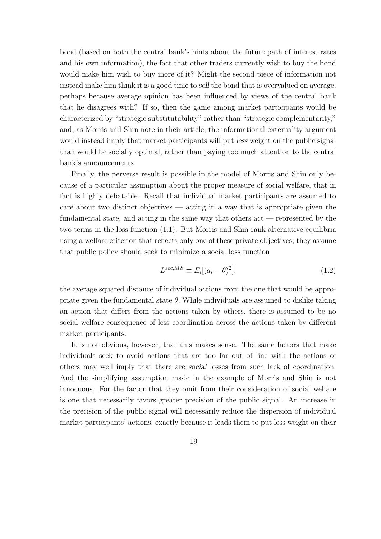bond (based on both the central bank's hints about the future path of interest rates and his own information), the fact that other traders currently wish to buy the bond would make him wish to buy more of it? Might the second piece of information not instead make him think it is a good time to sell the bond that is overvalued on average, perhaps because average opinion has been influenced by views of the central bank that he disagrees with? If so, then the game among market participants would be characterized by "strategic substitutability" rather than "strategic complementarity," and, as Morris and Shin note in their article, the informational-externality argument would instead imply that market participants will put less weight on the public signal than would be socially optimal, rather than paying too much attention to the central bank's announcements.

Finally, the perverse result is possible in the model of Morris and Shin only because of a particular assumption about the proper measure of social welfare, that in fact is highly debatable. Recall that individual market participants are assumed to care about two distinct objectives — acting in a way that is appropriate given the fundamental state, and acting in the same way that others act — represented by the two terms in the loss function (1.1). But Morris and Shin rank alternative equilibria using a welfare criterion that reflects only one of these private objectives; they assume that public policy should seek to minimize a social loss function

$$
L^{soc, MS} \equiv E_i[(a_i - \theta)^2], \qquad (1.2)
$$

the average squared distance of individual actions from the one that would be appropriate given the fundamental state  $\theta$ . While individuals are assumed to dislike taking an action that differs from the actions taken by others, there is assumed to be no social welfare consequence of less coordination across the actions taken by different market participants.

It is not obvious, however, that this makes sense. The same factors that make individuals seek to avoid actions that are too far out of line with the actions of others may well imply that there are social losses from such lack of coordination. And the simplifying assumption made in the example of Morris and Shin is not innocuous. For the factor that they omit from their consideration of social welfare is one that necessarily favors greater precision of the public signal. An increase in the precision of the public signal will necessarily reduce the dispersion of individual market participants' actions, exactly because it leads them to put less weight on their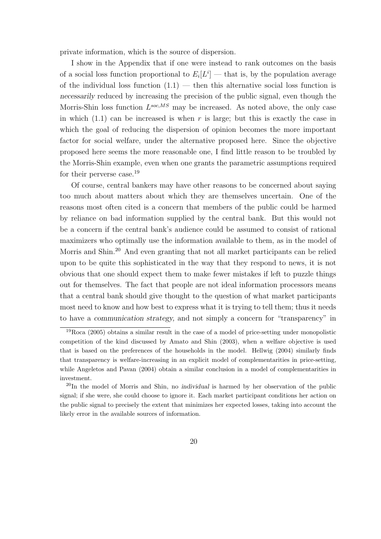private information, which is the source of dispersion.

I show in the Appendix that if one were instead to rank outcomes on the basis of a social loss function proportional to  $E_i[L^i]$  — that is, by the population average of the individual loss function  $(1.1)$  — then this alternative social loss function is necessarily reduced by increasing the precision of the public signal, even though the Morris-Shin loss function  $L^{soc, MS}$  may be increased. As noted above, the only case in which  $(1.1)$  can be increased is when r is large; but this is exactly the case in which the goal of reducing the dispersion of opinion becomes the more important factor for social welfare, under the alternative proposed here. Since the objective proposed here seems the more reasonable one, I find little reason to be troubled by the Morris-Shin example, even when one grants the parametric assumptions required for their perverse case.<sup>19</sup>

Of course, central bankers may have other reasons to be concerned about saying too much about matters about which they are themselves uncertain. One of the reasons most often cited is a concern that members of the public could be harmed by reliance on bad information supplied by the central bank. But this would not be a concern if the central bank's audience could be assumed to consist of rational maximizers who optimally use the information available to them, as in the model of Morris and Shin.<sup>20</sup> And even granting that not all market participants can be relied upon to be quite this sophisticated in the way that they respond to news, it is not obvious that one should expect them to make fewer mistakes if left to puzzle things out for themselves. The fact that people are not ideal information processors means that a central bank should give thought to the question of what market participants most need to know and how best to express what it is trying to tell them; thus it needs to have a communication strategy, and not simply a concern for "transparency" in

<sup>19</sup>Roca (2005) obtains a similar result in the case of a model of price-setting under monopolistic competition of the kind discussed by Amato and Shin (2003), when a welfare objective is used that is based on the preferences of the households in the model. Hellwig (2004) similarly finds that transparency is welfare-increasing in an explicit model of complementarities in price-setting, while Angeletos and Pavan (2004) obtain a similar conclusion in a model of complementarities in investment.

<sup>&</sup>lt;sup>20</sup>In the model of Morris and Shin, no individual is harmed by her observation of the public signal; if she were, she could choose to ignore it. Each market participant conditions her action on the public signal to precisely the extent that minimizes her expected losses, taking into account the likely error in the available sources of information.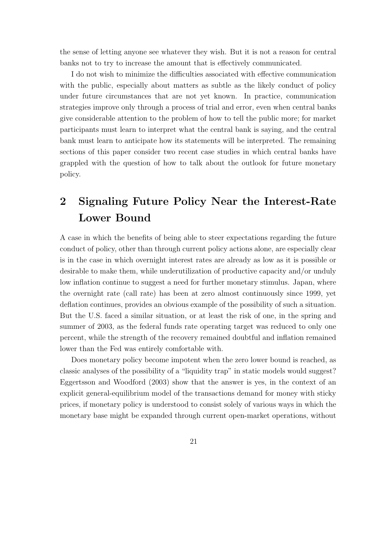the sense of letting anyone see whatever they wish. But it is not a reason for central banks not to try to increase the amount that is effectively communicated.

I do not wish to minimize the difficulties associated with effective communication with the public, especially about matters as subtle as the likely conduct of policy under future circumstances that are not yet known. In practice, communication strategies improve only through a process of trial and error, even when central banks give considerable attention to the problem of how to tell the public more; for market participants must learn to interpret what the central bank is saying, and the central bank must learn to anticipate how its statements will be interpreted. The remaining sections of this paper consider two recent case studies in which central banks have grappled with the question of how to talk about the outlook for future monetary policy.

# 2 Signaling Future Policy Near the Interest-Rate Lower Bound

A case in which the benefits of being able to steer expectations regarding the future conduct of policy, other than through current policy actions alone, are especially clear is in the case in which overnight interest rates are already as low as it is possible or desirable to make them, while underutilization of productive capacity and/or unduly low inflation continue to suggest a need for further monetary stimulus. Japan, where the overnight rate (call rate) has been at zero almost continuously since 1999, yet deflation continues, provides an obvious example of the possibility of such a situation. But the U.S. faced a similar situation, or at least the risk of one, in the spring and summer of 2003, as the federal funds rate operating target was reduced to only one percent, while the strength of the recovery remained doubtful and inflation remained lower than the Fed was entirely comfortable with.

Does monetary policy become impotent when the zero lower bound is reached, as classic analyses of the possibility of a "liquidity trap" in static models would suggest? Eggertsson and Woodford (2003) show that the answer is yes, in the context of an explicit general-equilibrium model of the transactions demand for money with sticky prices, if monetary policy is understood to consist solely of various ways in which the monetary base might be expanded through current open-market operations, without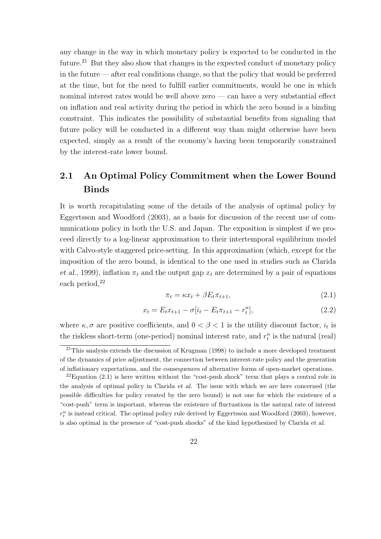any change in the way in which monetary policy is expected to be conducted in the future.<sup>21</sup> But they also show that changes in the expected conduct of monetary policy in the future — after real conditions change, so that the policy that would be preferred at the time, but for the need to fulfill earlier commitments, would be one in which nominal interest rates would be well above zero — can have a very substantial effect on inflation and real activity during the period in which the zero bound is a binding constraint. This indicates the possibility of substantial benefits from signaling that future policy will be conducted in a different way than might otherwise have been expected, simply as a result of the economy's having been temporarily constrained by the interest-rate lower bound.

## 2.1 An Optimal Policy Commitment when the Lower Bound Binds

It is worth recapitulating some of the details of the analysis of optimal policy by Eggertsson and Woodford (2003), as a basis for discussion of the recent use of communications policy in both the U.S. and Japan. The exposition is simplest if we proceed directly to a log-linear approximation to their intertemporal equilibrium model with Calvo-style staggered price-setting. In this approximation (which, except for the imposition of the zero bound, is identical to the one used in studies such as Clarida et al., 1999), inflation  $\pi_t$  and the output gap  $x_t$  are determined by a pair of equations each period, $^{22}$ 

$$
\pi_t = \kappa x_t + \beta E_t \pi_{t+1},\tag{2.1}
$$

$$
x_t = E_t x_{t+1} - \sigma[i_t - E_t \pi_{t+1} - r_t^n],
$$
\n(2.2)

where  $\kappa, \sigma$  are positive coefficients, and  $0 < \beta < 1$  is the utility discount factor,  $i_t$  is the riskless short-term (one-period) nominal interest rate, and  $r_t^n$  is the natural (real)

 $^{21}$ This analysis extends the discussion of Krugman (1998) to include a more developed treatment of the dynamics of price adjustment, the connection between interest-rate policy and the generation of inflationary expectations, and the consequences of alternative forms of open-market operations.

 $22$ Equation (2.1) is here written without the "cost-push shock" term that plays a central role in the analysis of optimal policy in Clarida et al. The issue with which we are here concerned (the possible difficulties for policy created by the zero bound) is not one for which the existence of a "cost-push" term is important, whereas the existence of fluctuations in the natural rate of interest  $r_t^n$  is instead critical. The optimal policy rule derived by Eggertsson and Woodford (2003), however, is also optimal in the presence of "cost-push shocks" of the kind hypothesized by Clarida et al.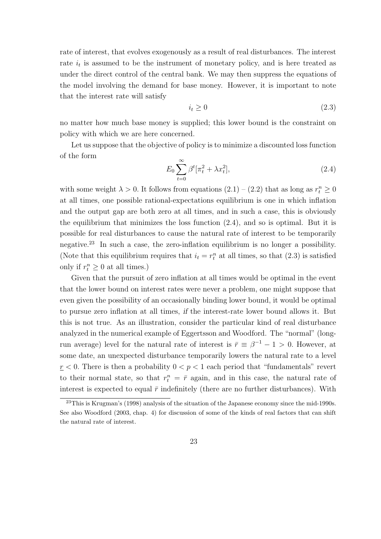rate of interest, that evolves exogenously as a result of real disturbances. The interest rate  $i_t$  is assumed to be the instrument of monetary policy, and is here treated as under the direct control of the central bank. We may then suppress the equations of the model involving the demand for base money. However, it is important to note that the interest rate will satisfy

$$
i_t \ge 0 \tag{2.3}
$$

no matter how much base money is supplied; this lower bound is the constraint on policy with which we are here concerned.

Let us suppose that the objective of policy is to minimize a discounted loss function of the form

$$
E_0 \sum_{t=0}^{\infty} \beta^t [\pi_t^2 + \lambda x_t^2], \qquad (2.4)
$$

with some weight  $\lambda > 0$ . It follows from equations  $(2.1) - (2.2)$  that as long as  $r_t^n \ge 0$ at all times, one possible rational-expectations equilibrium is one in which inflation and the output gap are both zero at all times, and in such a case, this is obviously the equilibrium that minimizes the loss function (2.4), and so is optimal. But it is possible for real disturbances to cause the natural rate of interest to be temporarily negative.<sup>23</sup> In such a case, the zero-inflation equilibrium is no longer a possibility. (Note that this equilibrium requires that  $i_t = r_t^n$  at all times, so that (2.3) is satisfied only if  $r_t^n \geq 0$  at all times.)

Given that the pursuit of zero inflation at all times would be optimal in the event that the lower bound on interest rates were never a problem, one might suppose that even given the possibility of an occasionally binding lower bound, it would be optimal to pursue zero inflation at all times, if the interest-rate lower bound allows it. But this is not true. As an illustration, consider the particular kind of real disturbance analyzed in the numerical example of Eggertsson and Woodford. The "normal" (longrun average) level for the natural rate of interest is  $\bar{r} \equiv \beta^{-1} - 1 > 0$ . However, at some date, an unexpected disturbance temporarily lowers the natural rate to a level  $r < 0$ . There is then a probability  $0 < p < 1$  each period that "fundamentals" revert to their normal state, so that  $r_t^n = \bar{r}$  again, and in this case, the natural rate of interest is expected to equal  $\bar{r}$  indefinitely (there are no further disturbances). With

 $^{23}$ This is Krugman's (1998) analysis of the situation of the Japanese economy since the mid-1990s. See also Woodford (2003, chap. 4) for discussion of some of the kinds of real factors that can shift the natural rate of interest.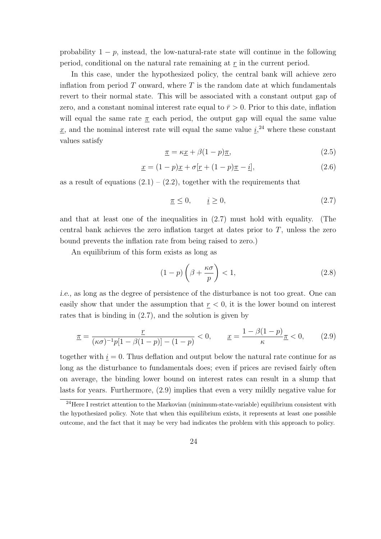probability  $1 - p$ , instead, the low-natural-rate state will continue in the following period, conditional on the natural rate remaining at  $r$  in the current period.

In this case, under the hypothesized policy, the central bank will achieve zero inflation from period  $T$  onward, where  $T$  is the random date at which fundamentals revert to their normal state. This will be associated with a constant output gap of zero, and a constant nominal interest rate equal to  $\bar{r} > 0$ . Prior to this date, inflation will equal the same rate  $\pi$  each period, the output gap will equal the same value  $\underline{x}$ , and the nominal interest rate will equal the same value  $\underline{i}$ , <sup>24</sup> where these constant values satisfy

$$
\underline{\pi} = \kappa \underline{x} + \beta (1 - p) \underline{\pi}, \tag{2.5}
$$

$$
\underline{x} = (1 - p)\underline{x} + \sigma[\underline{r} + (1 - p)\underline{\pi} - \underline{i}], \qquad (2.6)
$$

as a result of equations  $(2.1) - (2.2)$ , together with the requirements that

$$
\underline{\pi} \le 0, \qquad \underline{i} \ge 0,\tag{2.7}
$$

and that at least one of the inequalities in (2.7) must hold with equality. (The central bank achieves the zero inflation target at dates prior to  $T$ , unless the zero bound prevents the inflation rate from being raised to zero.)

An equilibrium of this form exists as long as

$$
(1-p)\left(\beta + \frac{\kappa \sigma}{p}\right) < 1,\tag{2.8}
$$

i.e., as long as the degree of persistence of the disturbance is not too great. One can easily show that under the assumption that  $r < 0$ , it is the lower bound on interest rates that is binding in (2.7), and the solution is given by

$$
\underline{\pi} = \frac{\underline{r}}{(\kappa \sigma)^{-1} p [1 - \beta (1 - p)] - (1 - p)} < 0, \qquad \underline{x} = \frac{1 - \beta (1 - p)}{\kappa} \underline{\pi} < 0,\tag{2.9}
$$

together with  $i = 0$ . Thus deflation and output below the natural rate continue for as long as the disturbance to fundamentals does; even if prices are revised fairly often on average, the binding lower bound on interest rates can result in a slump that lasts for years. Furthermore, (2.9) implies that even a very mildly negative value for

<sup>&</sup>lt;sup>24</sup>Here I restrict attention to the Markovian (minimum-state-variable) equilibrium consistent with the hypothesized policy. Note that when this equilibrium exists, it represents at least one possible outcome, and the fact that it may be very bad indicates the problem with this approach to policy.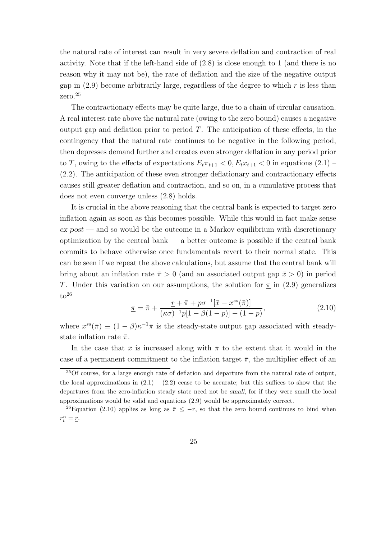the natural rate of interest can result in very severe deflation and contraction of real activity. Note that if the left-hand side of (2.8) is close enough to 1 (and there is no reason why it may not be), the rate of deflation and the size of the negative output gap in  $(2.9)$  become arbitrarily large, regardless of the degree to which  $r$  is less than zero.<sup>25</sup>

The contractionary effects may be quite large, due to a chain of circular causation. A real interest rate above the natural rate (owing to the zero bound) causes a negative output gap and deflation prior to period  $T$ . The anticipation of these effects, in the contingency that the natural rate continues to be negative in the following period, then depresses demand further and creates even stronger deflation in any period prior to T, owing to the effects of expectations  $E_t\pi_{t+1} < 0, E_t x_{t+1} < 0$  in equations  $(2.1)$ (2.2). The anticipation of these even stronger deflationary and contractionary effects causes still greater deflation and contraction, and so on, in a cumulative process that does not even converge unless (2.8) holds.

It is crucial in the above reasoning that the central bank is expected to target zero inflation again as soon as this becomes possible. While this would in fact make sense  $ex$  post — and so would be the outcome in a Markov equilibrium with discretionary optimization by the central bank — a better outcome is possible if the central bank commits to behave otherwise once fundamentals revert to their normal state. This can be seen if we repeat the above calculations, but assume that the central bank will bring about an inflation rate  $\bar{\pi} > 0$  (and an associated output gap  $\bar{x} > 0$ ) in period T. Under this variation on our assumptions, the solution for  $\pi$  in (2.9) generalizes  $to^{26}$ 

$$
\underline{\pi} = \bar{\pi} + \frac{\underline{r} + \bar{\pi} + p\sigma^{-1}[\bar{x} - x^{ss}(\bar{\pi})]}{(\kappa\sigma)^{-1}p[1 - \beta(1 - p)] - (1 - p)},
$$
\n(2.10)

where  $x^{ss}(\bar{\pi}) \equiv (1-\beta)\kappa^{-1}\bar{\pi}$  is the steady-state output gap associated with steadystate inflation rate  $\bar{\pi}$ .

In the case that  $\bar{x}$  is increased along with  $\bar{\pi}$  to the extent that it would in the case of a permanent commitment to the inflation target  $\bar{\pi}$ , the multiplier effect of an

 $25$ Of course, for a large enough rate of deflation and departure from the natural rate of output, the local approximations in  $(2.1) - (2.2)$  cease to be accurate; but this suffices to show that the departures from the zero-inflation steady state need not be small, for if they were small the local approximations would be valid and equations (2.9) would be approximately correct.

<sup>&</sup>lt;sup>26</sup>Equation (2.10) applies as long as  $\bar{\pi} \leq -r$ , so that the zero bound continues to bind when  $r_t^n = \underline{r}.$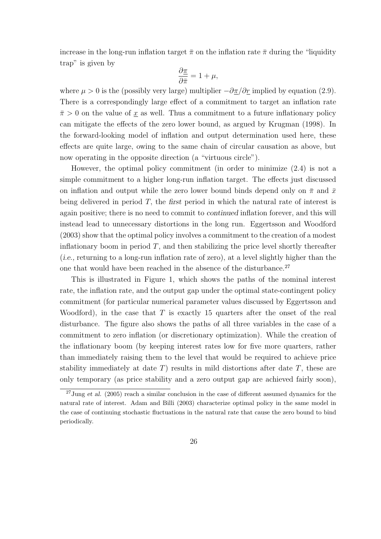increase in the long-run inflation target  $\bar{\pi}$  on the inflation rate  $\bar{\pi}$  during the "liquidity" trap" is given by

$$
\frac{\partial \underline{\pi}}{\partial \bar{\pi}} = 1 + \mu,
$$

where  $\mu > 0$  is the (possibly very large) multiplier  $-\partial \pi / \partial r$  implied by equation (2.9). There is a correspondingly large effect of a commitment to target an inflation rate  $\bar{\pi} > 0$  on the value of <u>x</u> as well. Thus a commitment to a future inflationary policy can mitigate the effects of the zero lower bound, as argued by Krugman (1998). In the forward-looking model of inflation and output determination used here, these effects are quite large, owing to the same chain of circular causation as above, but now operating in the opposite direction (a "virtuous circle").

However, the optimal policy commitment (in order to minimize (2.4) is not a simple commitment to a higher long-run inflation target. The effects just discussed on inflation and output while the zero lower bound binds depend only on  $\bar{\pi}$  and  $\bar{x}$ being delivered in period  $T$ , the first period in which the natural rate of interest is again positive; there is no need to commit to continued inflation forever, and this will instead lead to unnecessary distortions in the long run. Eggertsson and Woodford (2003) show that the optimal policy involves a commitment to the creation of a modest inflationary boom in period  $T$ , and then stabilizing the price level shortly thereafter (i.e., returning to a long-run inflation rate of zero), at a level slightly higher than the one that would have been reached in the absence of the disturbance.<sup>27</sup>

This is illustrated in Figure 1, which shows the paths of the nominal interest rate, the inflation rate, and the output gap under the optimal state-contingent policy commitment (for particular numerical parameter values discussed by Eggertsson and Woodford), in the case that  $T$  is exactly 15 quarters after the onset of the real disturbance. The figure also shows the paths of all three variables in the case of a commitment to zero inflation (or discretionary optimization). While the creation of the inflationary boom (by keeping interest rates low for five more quarters, rather than immediately raising them to the level that would be required to achieve price stability immediately at date  $T$ ) results in mild distortions after date  $T$ , these are only temporary (as price stability and a zero output gap are achieved fairly soon),

 $^{27}$ Jung et al. (2005) reach a similar conclusion in the case of different assumed dynamics for the natural rate of interest. Adam and Billi (2003) characterize optimal policy in the same model in the case of continuing stochastic fluctuations in the natural rate that cause the zero bound to bind periodically.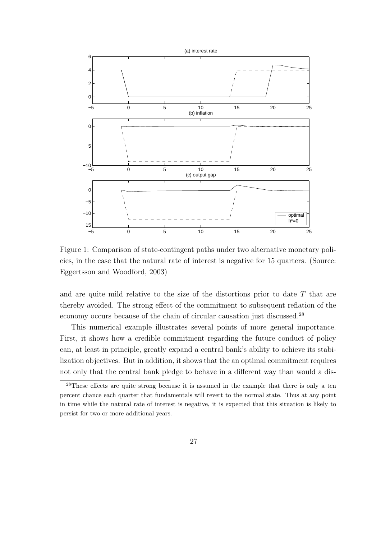

Figure 1: Comparison of state-contingent paths under two alternative monetary policies, in the case that the natural rate of interest is negative for 15 quarters. (Source: Eggertsson and Woodford, 2003)

and are quite mild relative to the size of the distortions prior to date T that are thereby avoided. The strong effect of the commitment to subsequent reflation of the economy occurs because of the chain of circular causation just discussed.<sup>28</sup>

This numerical example illustrates several points of more general importance. First, it shows how a credible commitment regarding the future conduct of policy can, at least in principle, greatly expand a central bank's ability to achieve its stabilization objectives. But in addition, it shows that the an optimal commitment requires not only that the central bank pledge to behave in a different way than would a dis-

<sup>&</sup>lt;sup>28</sup>These effects are quite strong because it is assumed in the example that there is only a ten percent chance each quarter that fundamentals will revert to the normal state. Thus at any point in time while the natural rate of interest is negative, it is expected that this situation is likely to persist for two or more additional years.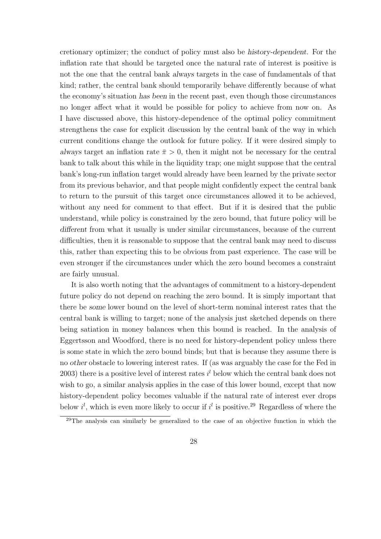cretionary optimizer; the conduct of policy must also be history-dependent. For the inflation rate that should be targeted once the natural rate of interest is positive is not the one that the central bank always targets in the case of fundamentals of that kind; rather, the central bank should temporarily behave differently because of what the economy's situation has been in the recent past, even though those circumstances no longer affect what it would be possible for policy to achieve from now on. As I have discussed above, this history-dependence of the optimal policy commitment strengthens the case for explicit discussion by the central bank of the way in which current conditions change the outlook for future policy. If it were desired simply to always target an inflation rate  $\bar{\pi} > 0$ , then it might not be necessary for the central bank to talk about this while in the liquidity trap; one might suppose that the central bank's long-run inflation target would already have been learned by the private sector from its previous behavior, and that people might confidently expect the central bank to return to the pursuit of this target once circumstances allowed it to be achieved, without any need for comment to that effect. But if it is desired that the public understand, while policy is constrained by the zero bound, that future policy will be different from what it usually is under similar circumstances, because of the current difficulties, then it is reasonable to suppose that the central bank may need to discuss this, rather than expecting this to be obvious from past experience. The case will be even stronger if the circumstances under which the zero bound becomes a constraint are fairly unusual.

It is also worth noting that the advantages of commitment to a history-dependent future policy do not depend on reaching the zero bound. It is simply important that there be some lower bound on the level of short-term nominal interest rates that the central bank is willing to target; none of the analysis just sketched depends on there being satiation in money balances when this bound is reached. In the analysis of Eggertsson and Woodford, there is no need for history-dependent policy unless there is some state in which the zero bound binds; but that is because they assume there is no other obstacle to lowering interest rates. If (as was arguably the case for the Fed in 2003) there is a positive level of interest rates  $i<sup>l</sup>$  below which the central bank does not wish to go, a similar analysis applies in the case of this lower bound, except that now history-dependent policy becomes valuable if the natural rate of interest ever drops below  $i^l$ , which is even more likely to occur if  $i^l$  is positive.<sup>29</sup> Regardless of where the

 $29$ The analysis can similarly be generalized to the case of an objective function in which the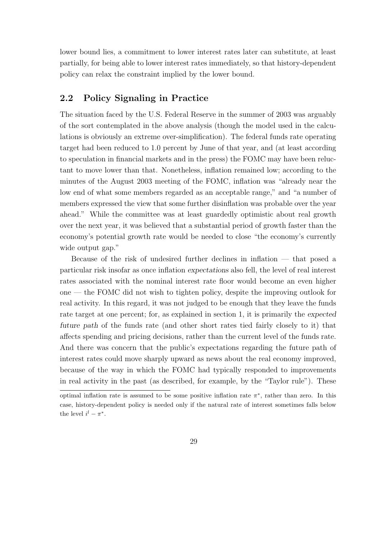lower bound lies, a commitment to lower interest rates later can substitute, at least partially, for being able to lower interest rates immediately, so that history-dependent policy can relax the constraint implied by the lower bound.

#### 2.2 Policy Signaling in Practice

The situation faced by the U.S. Federal Reserve in the summer of 2003 was arguably of the sort contemplated in the above analysis (though the model used in the calculations is obviously an extreme over-simplification). The federal funds rate operating target had been reduced to 1.0 percent by June of that year, and (at least according to speculation in financial markets and in the press) the FOMC may have been reluctant to move lower than that. Nonetheless, inflation remained low; according to the minutes of the August 2003 meeting of the FOMC, inflation was "already near the low end of what some members regarded as an acceptable range," and "a number of members expressed the view that some further disinflation was probable over the year ahead." While the committee was at least guardedly optimistic about real growth over the next year, it was believed that a substantial period of growth faster than the economy's potential growth rate would be needed to close "the economy's currently wide output gap."

Because of the risk of undesired further declines in inflation — that posed a particular risk insofar as once inflation expectations also fell, the level of real interest rates associated with the nominal interest rate floor would become an even higher one — the FOMC did not wish to tighten policy, despite the improving outlook for real activity. In this regard, it was not judged to be enough that they leave the funds rate target at one percent; for, as explained in section 1, it is primarily the expected future path of the funds rate (and other short rates tied fairly closely to it) that affects spending and pricing decisions, rather than the current level of the funds rate. And there was concern that the public's expectations regarding the future path of interest rates could move sharply upward as news about the real economy improved, because of the way in which the FOMC had typically responded to improvements in real activity in the past (as described, for example, by the "Taylor rule"). These

optimal inflation rate is assumed to be some positive inflation rate  $\pi^*$ , rather than zero. In this case, history-dependent policy is needed only if the natural rate of interest sometimes falls below the level  $i^{l} - \pi^{*}$ .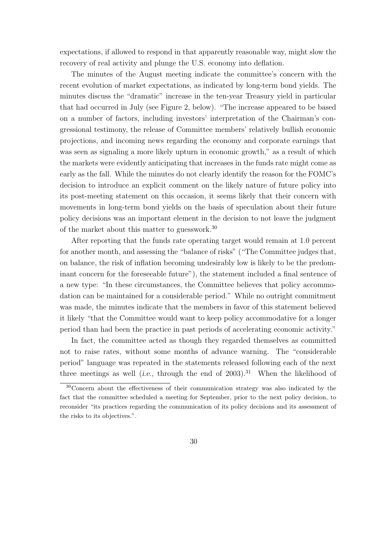expectations, if allowed to respond in that apparently reasonable way, might slow the recovery of real activity and plunge the U.S. economy into deflation.

The minutes of the August meeting indicate the committee's concern with the recent evolution of market expectations, as indicated by long-term bond yields. The minutes discuss the "dramatic" increase in the ten-year Treasury yield in particular that had occurred in July (see Figure 2, below). "The increase appeared to be based on a number of factors, including investors' interpretation of the Chairman's congressional testimony, the release of Committee members' relatively bullish economic projections, and incoming news regarding the economy and corporate earnings that was seen as signaling a more likely upturn in economic growth," as a result of which the markets were evidently anticipating that increases in the funds rate might come as early as the fall. While the minutes do not clearly identify the reason for the FOMC's decision to introduce an explicit comment on the likely nature of future policy into its post-meeting statement on this occasion, it seems likely that their concern with movements in long-term bond yields on the basis of speculation about their future policy decisions was an important element in the decision to not leave the judgment of the market about this matter to guesswork.<sup>30</sup>

After reporting that the funds rate operating target would remain at 1.0 percent for another month, and assessing the "balance of risks" ("The Committee judges that, on balance, the risk of inflation becoming undesirably low is likely to be the predominant concern for the foreseeable future"), the statement included a final sentence of a new type: "In these circumstances, the Committee believes that policy accommodation can be maintained for a considerable period." While no outright commitment was made, the minutes indicate that the members in favor of this statement believed it likely "that the Committee would want to keep policy accommodative for a longer period than had been the practice in past periods of accelerating economic activity."

In fact, the committee acted as though they regarded themselves as committed not to raise rates, without some months of advance warning. The "considerable period" language was repeated in the statements released following each of the next three meetings as well (i.e., through the end of  $2003$ ).<sup>31</sup> When the likelihood of

<sup>&</sup>lt;sup>30</sup>Concern about the effectiveness of their communication strategy was also indicated by the fact that the committee scheduled a meeting for September, prior to the next policy decision, to reconsider "its practices regarding the communication of its policy decisions and its assessment of the risks to its objectives.".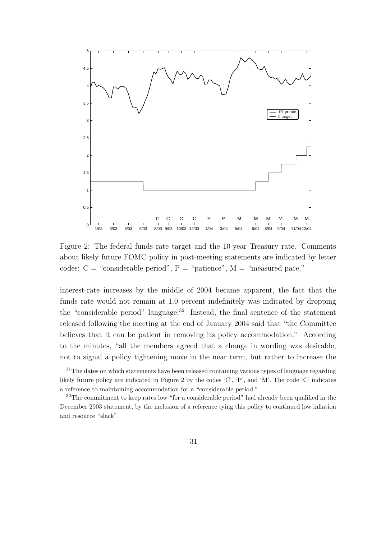

Figure 2: The federal funds rate target and the 10-year Treasury rate. Comments about likely future FOMC policy in post-meeting statements are indicated by letter codes:  $C =$  "considerable period",  $P =$  "patience",  $M =$  "measured pace."

interest-rate increases by the middle of 2004 became apparent, the fact that the funds rate would not remain at 1.0 percent indefinitely was indicated by dropping the "considerable period" language.<sup>32</sup> Instead, the final sentence of the statement released following the meeting at the end of January 2004 said that "the Committee believes that it can be patient in removing its policy accommodation." According to the minutes, "all the members agreed that a change in wording was desirable, not to signal a policy tightening move in the near term, but rather to increase the

<sup>&</sup>lt;sup>31</sup>The dates on which statements have been released containing various types of language regarding likely future policy are indicated in Figure 2 by the codes 'C', 'P', and 'M'. The code 'C' indicates a reference to maintaining accommodation for a "considerable period."

 $32$ The commitment to keep rates low "for a considerable period" had already been qualified in the December 2003 statement, by the inclusion of a reference tying this policy to continued low inflation and resource "slack".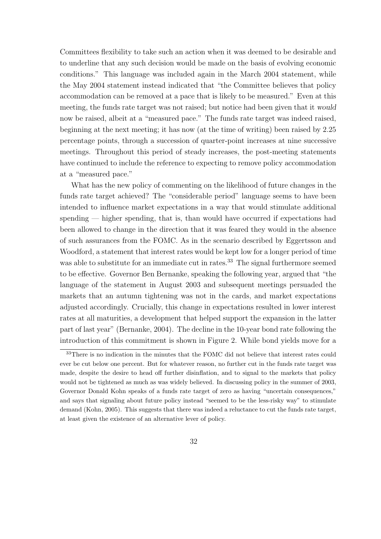Committees flexibility to take such an action when it was deemed to be desirable and to underline that any such decision would be made on the basis of evolving economic conditions." This language was included again in the March 2004 statement, while the May 2004 statement instead indicated that "the Committee believes that policy accommodation can be removed at a pace that is likely to be measured." Even at this meeting, the funds rate target was not raised; but notice had been given that it would now be raised, albeit at a "measured pace." The funds rate target was indeed raised, beginning at the next meeting; it has now (at the time of writing) been raised by 2.25 percentage points, through a succession of quarter-point increases at nine successive meetings. Throughout this period of steady increases, the post-meeting statements have continued to include the reference to expecting to remove policy accommodation at a "measured pace."

What has the new policy of commenting on the likelihood of future changes in the funds rate target achieved? The "considerable period" language seems to have been intended to influence market expectations in a way that would stimulate additional spending — higher spending, that is, than would have occurred if expectations had been allowed to change in the direction that it was feared they would in the absence of such assurances from the FOMC. As in the scenario described by Eggertsson and Woodford, a statement that interest rates would be kept low for a longer period of time was able to substitute for an immediate cut in rates.<sup>33</sup> The signal furthermore seemed to be effective. Governor Ben Bernanke, speaking the following year, argued that "the language of the statement in August 2003 and subsequent meetings persuaded the markets that an autumn tightening was not in the cards, and market expectations adjusted accordingly. Crucially, this change in expectations resulted in lower interest rates at all maturities, a development that helped support the expansion in the latter part of last year" (Bernanke, 2004). The decline in the 10-year bond rate following the introduction of this commitment is shown in Figure 2. While bond yields move for a

<sup>&</sup>lt;sup>33</sup>There is no indication in the minutes that the FOMC did not believe that interest rates could ever be cut below one percent. But for whatever reason, no further cut in the funds rate target was made, despite the desire to head off further disinflation, and to signal to the markets that policy would not be tightened as much as was widely believed. In discussing policy in the summer of 2003, Governor Donald Kohn speaks of a funds rate target of zero as having "uncertain consequences," and says that signaling about future policy instead "seemed to be the less-risky way" to stimulate demand (Kohn, 2005). This suggests that there was indeed a reluctance to cut the funds rate target, at least given the existence of an alternative lever of policy.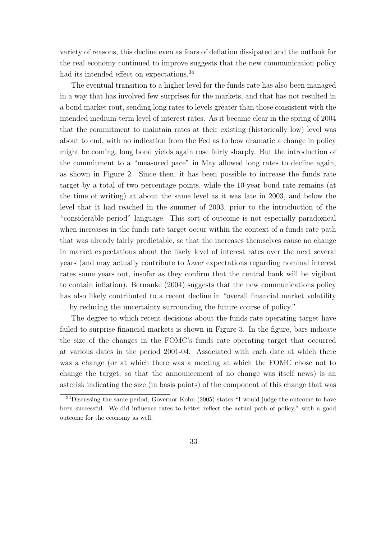variety of reasons, this decline even as fears of deflation dissipated and the outlook for the real economy continued to improve suggests that the new communication policy had its intended effect on expectations.<sup>34</sup>

The eventual transition to a higher level for the funds rate has also been managed in a way that has involved few surprises for the markets, and that has not resulted in a bond market rout, sending long rates to levels greater than those consistent with the intended medium-term level of interest rates. As it became clear in the spring of 2004 that the commitment to maintain rates at their existing (historically low) level was about to end, with no indication from the Fed as to how dramatic a change in policy might be coming, long bond yields again rose fairly sharply. But the introduction of the commitment to a "measured pace" in May allowed long rates to decline again, as shown in Figure 2. Since then, it has been possible to increase the funds rate target by a total of two percentage points, while the 10-year bond rate remains (at the time of writing) at about the same level as it was late in 2003, and below the level that it had reached in the summer of 2003, prior to the introduction of the "considerable period" language. This sort of outcome is not especially paradoxical when increases in the funds rate target occur within the context of a funds rate path that was already fairly predictable, so that the increases themselves cause no change in market expectations about the likely level of interest rates over the next several years (and may actually contribute to lower expectations regarding nominal interest rates some years out, insofar as they confirm that the central bank will be vigilant to contain inflation). Bernanke (2004) suggests that the new communications policy has also likely contributed to a recent decline in "overall financial market volatility ... by reducing the uncertainty surrounding the future course of policy."

The degree to which recent decisions about the funds rate operating target have failed to surprise financial markets is shown in Figure 3. In the figure, bars indicate the size of the changes in the FOMC's funds rate operating target that occurred at various dates in the period 2001-04. Associated with each date at which there was a change (or at which there was a meeting at which the FOMC chose not to change the target, so that the announcement of no change was itself news) is an asterisk indicating the size (in basis points) of the component of this change that was

<sup>&</sup>lt;sup>34</sup>Discussing the same period, Governor Kohn (2005) states "I would judge the outcome to have been successful. We did influence rates to better reflect the actual path of policy," with a good outcome for the economy as well.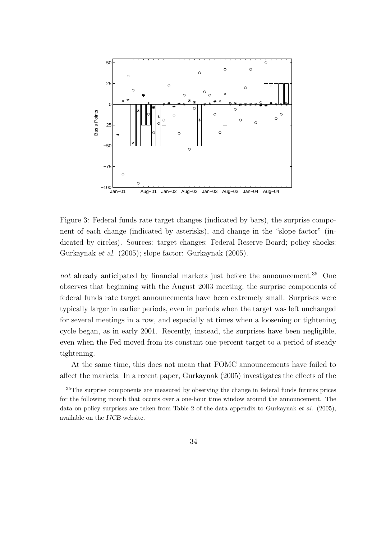

Figure 3: Federal funds rate target changes (indicated by bars), the surprise component of each change (indicated by asterisks), and change in the "slope factor" (indicated by circles). Sources: target changes: Federal Reserve Board; policy shocks: Gurkaynak et al. (2005); slope factor: Gurkaynak (2005).

not already anticipated by financial markets just before the announcement.<sup>35</sup> One observes that beginning with the August 2003 meeting, the surprise components of federal funds rate target announcements have been extremely small. Surprises were typically larger in earlier periods, even in periods when the target was left unchanged for several meetings in a row, and especially at times when a loosening or tightening cycle began, as in early 2001. Recently, instead, the surprises have been negligible, even when the Fed moved from its constant one percent target to a period of steady tightening.

At the same time, this does not mean that FOMC announcements have failed to affect the markets. In a recent paper, Gurkaynak (2005) investigates the effects of the

<sup>&</sup>lt;sup>35</sup>The surprise components are measured by observing the change in federal funds futures prices for the following month that occurs over a one-hour time window around the announcement. The data on policy surprises are taken from Table 2 of the data appendix to Gurkaynak et al. (2005), available on the IJCB website.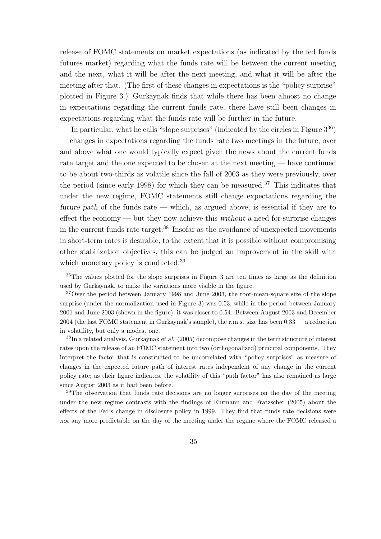release of FOMC statements on market expectations (as indicated by the fed funds futures market) regarding what the funds rate will be between the current meeting and the next, what it will be after the next meeting, and what it will be after the meeting after that. (The first of these changes in expectations is the "policy surprise" plotted in Figure 3.) Gurkaynak finds that while there has been almost no change in expectations regarding the current funds rate, there have still been changes in expectations regarding what the funds rate will be further in the future.

In particular, what he calls "slope surprises" (indicated by the circles in Figure  $3^{36}$ ) — changes in expectations regarding the funds rate two meetings in the future, over and above what one would typically expect given the news about the current funds rate target and the one expected to be chosen at the next meeting — have continued to be about two-thirds as volatile since the fall of 2003 as they were previously, over the period (since early 1998) for which they can be measured.<sup>37</sup> This indicates that under the new regime, FOMC statements still change expectations regarding the future path of the funds rate — which, as argued above, is essential if they are to effect the economy — but they now achieve this without a need for surprise changes in the current funds rate target.<sup>38</sup> Insofar as the avoidance of unexpected movements in short-term rates is desirable, to the extent that it is possible without compromising other stabilization objectives, this can be judged an improvement in the skill with which monetary policy is conducted.<sup>39</sup>

 $38$ In a related analysis, Gurkaynak et al. (2005) decompose changes in the term structure of interest rates upon the release of an FOMC statement into two (orthogonalized) principal components. They interpret the factor that is constructed to be uncorrelated with "policy surprises" as measure of changes in the expected future path of interest rates independent of any change in the current policy rate; as their figure indicates, the volatility of this "path factor" has also remained as large since August 2003 as it had been before.

 $39$ The observation that funds rate decisions are no longer surprises on the day of the meeting under the new regime contrasts with the findings of Ehrmann and Fratzscher (2005) about the effects of the Fed's change in disclosure policy in 1999. They find that funds rate decisions were not any more predictable on the day of the meeting under the regime where the FOMC released a

<sup>&</sup>lt;sup>36</sup>The values plotted for the slope surprises in Figure 3 are ten times as large as the definition used by Gurkaynak, to make the variations more visible in the figure.

<sup>&</sup>lt;sup>37</sup>Over the period between January 1998 and June 2003, the root-mean-square size of the slope surprise (under the normalization used in Figure 3) was 0.53, while in the period between January 2001 and June 2003 (shown in the figure), it was closer to 0.54. Between August 2003 and December 2004 (the last FOMC statement in Gurkaynak's sample), the r.m.s. size has been 0.33 — a reduction in volatility, but only a modest one.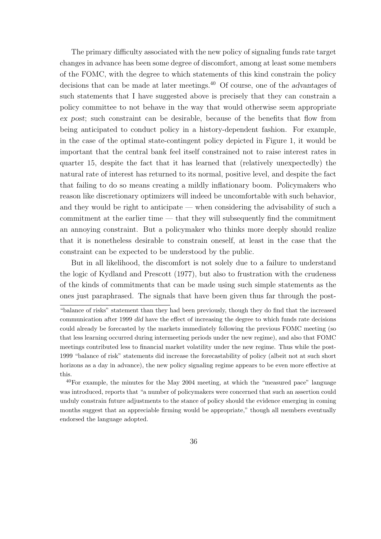The primary difficulty associated with the new policy of signaling funds rate target changes in advance has been some degree of discomfort, among at least some members of the FOMC, with the degree to which statements of this kind constrain the policy decisions that can be made at later meetings.<sup>40</sup> Of course, one of the advantages of such statements that I have suggested above is precisely that they can constrain a policy committee to not behave in the way that would otherwise seem appropriate ex post; such constraint can be desirable, because of the benefits that flow from being anticipated to conduct policy in a history-dependent fashion. For example, in the case of the optimal state-contingent policy depicted in Figure 1, it would be important that the central bank feel itself constrained not to raise interest rates in quarter 15, despite the fact that it has learned that (relatively unexpectedly) the natural rate of interest has returned to its normal, positive level, and despite the fact that failing to do so means creating a mildly inflationary boom. Policymakers who reason like discretionary optimizers will indeed be uncomfortable with such behavior, and they would be right to anticipate — when considering the advisability of such a commitment at the earlier time — that they will subsequently find the commitment an annoying constraint. But a policymaker who thinks more deeply should realize that it is nonetheless desirable to constrain oneself, at least in the case that the constraint can be expected to be understood by the public.

But in all likelihood, the discomfort is not solely due to a failure to understand the logic of Kydland and Prescott (1977), but also to frustration with the crudeness of the kinds of commitments that can be made using such simple statements as the ones just paraphrased. The signals that have been given thus far through the post-

<sup>&</sup>quot;balance of risks" statement than they had been previously, though they do find that the increased communication after 1999 did have the effect of increasing the degree to which funds rate decisions could already be forecasted by the markets immediately following the previous FOMC meeting (so that less learning occurred during intermeeting periods under the new regime), and also that FOMC meetings contributed less to financial market volatility under the new regime. Thus while the post-1999 "balance of risk" statements did increase the forecastability of policy (albeit not at such short horizons as a day in advance), the new policy signaling regime appears to be even more effective at this.

<sup>40</sup>For example, the minutes for the May 2004 meeting, at which the "measured pace" language was introduced, reports that "a number of policymakers were concerned that such an assertion could unduly constrain future adjustments to the stance of policy should the evidence emerging in coming months suggest that an appreciable firming would be appropriate," though all members eventually endorsed the language adopted.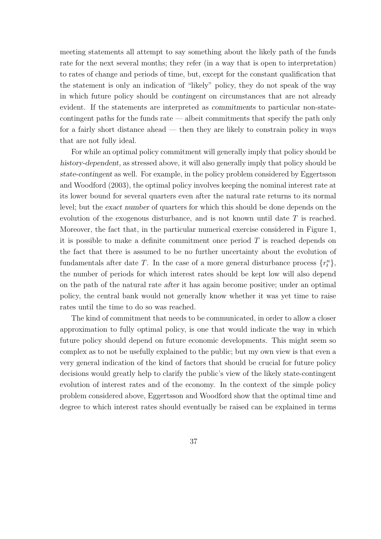meeting statements all attempt to say something about the likely path of the funds rate for the next several months; they refer (in a way that is open to interpretation) to rates of change and periods of time, but, except for the constant qualification that the statement is only an indication of "likely" policy, they do not speak of the way in which future policy should be contingent on circumstances that are not already evident. If the statements are interpreted as commitments to particular non-statecontingent paths for the funds rate — albeit commitments that specify the path only for a fairly short distance ahead — then they are likely to constrain policy in ways that are not fully ideal.

For while an optimal policy commitment will generally imply that policy should be history-dependent, as stressed above, it will also generally imply that policy should be state-contingent as well. For example, in the policy problem considered by Eggertsson and Woodford (2003), the optimal policy involves keeping the nominal interest rate at its lower bound for several quarters even after the natural rate returns to its normal level; but the exact number of quarters for which this should be done depends on the evolution of the exogenous disturbance, and is not known until date T is reached. Moreover, the fact that, in the particular numerical exercise considered in Figure 1, it is possible to make a definite commitment once period  $T$  is reached depends on the fact that there is assumed to be no further uncertainty about the evolution of fundamentals after date T. In the case of a more general disturbance process  $\{r_t^n\}$ , the number of periods for which interest rates should be kept low will also depend on the path of the natural rate after it has again become positive; under an optimal policy, the central bank would not generally know whether it was yet time to raise rates until the time to do so was reached.

The kind of commitment that needs to be communicated, in order to allow a closer approximation to fully optimal policy, is one that would indicate the way in which future policy should depend on future economic developments. This might seem so complex as to not be usefully explained to the public; but my own view is that even a very general indication of the kind of factors that should be crucial for future policy decisions would greatly help to clarify the public's view of the likely state-contingent evolution of interest rates and of the economy. In the context of the simple policy problem considered above, Eggertsson and Woodford show that the optimal time and degree to which interest rates should eventually be raised can be explained in terms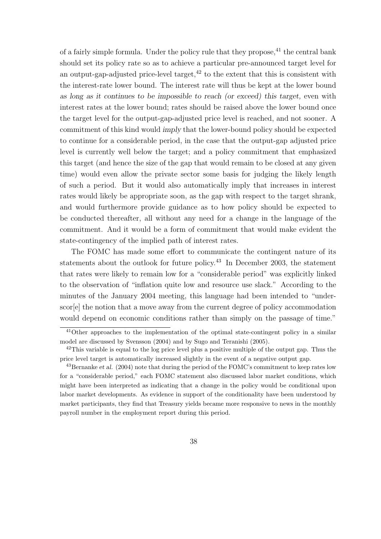of a fairly simple formula. Under the policy rule that they propose,  $41$  the central bank should set its policy rate so as to achieve a particular pre-announced target level for an output-gap-adjusted price-level target, $42$  to the extent that this is consistent with the interest-rate lower bound. The interest rate will thus be kept at the lower bound as long as it continues to be impossible to reach (or exceed) this target, even with interest rates at the lower bound; rates should be raised above the lower bound once the target level for the output-gap-adjusted price level is reached, and not sooner. A commitment of this kind would imply that the lower-bound policy should be expected to continue for a considerable period, in the case that the output-gap adjusted price level is currently well below the target; and a policy commitment that emphasized this target (and hence the size of the gap that would remain to be closed at any given time) would even allow the private sector some basis for judging the likely length of such a period. But it would also automatically imply that increases in interest rates would likely be appropriate soon, as the gap with respect to the target shrank, and would furthermore provide guidance as to how policy should be expected to be conducted thereafter, all without any need for a change in the language of the commitment. And it would be a form of commitment that would make evident the state-contingency of the implied path of interest rates.

The FOMC has made some effort to communicate the contingent nature of its statements about the outlook for future policy.<sup>43</sup> In December 2003, the statement that rates were likely to remain low for a "considerable period" was explicitly linked to the observation of "inflation quite low and resource use slack." According to the minutes of the January 2004 meeting, this language had been intended to "underscor<sup>[e]</sup> the notion that a move away from the current degree of policy accommodation would depend on economic conditions rather than simply on the passage of time."

<sup>41</sup>Other approaches to the implementation of the optimal state-contingent policy in a similar model are discussed by Svensson (2004) and by Sugo and Teranishi (2005).

 $42$ This variable is equal to the log price level plus a positive multiple of the output gap. Thus the price level target is automatically increased slightly in the event of a negative output gap.

 $43$ Bernanke et al. (2004) note that during the period of the FOMC's commitment to keep rates low for a "considerable period," each FOMC statement also discussed labor market conditions, which might have been interpreted as indicating that a change in the policy would be conditional upon labor market developments. As evidence in support of the conditionality have been understood by market participants, they find that Treasury yields became more responsive to news in the monthly payroll number in the employment report during this period.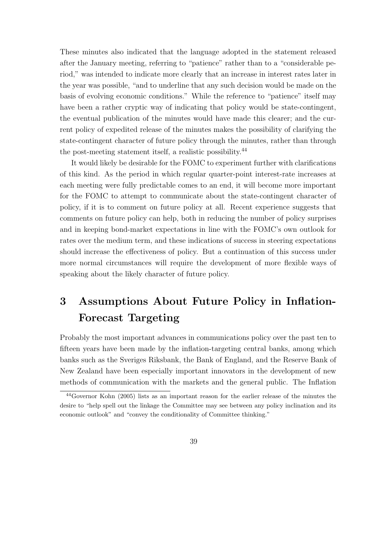These minutes also indicated that the language adopted in the statement released after the January meeting, referring to "patience" rather than to a "considerable period," was intended to indicate more clearly that an increase in interest rates later in the year was possible, "and to underline that any such decision would be made on the basis of evolving economic conditions." While the reference to "patience" itself may have been a rather cryptic way of indicating that policy would be state-contingent, the eventual publication of the minutes would have made this clearer; and the current policy of expedited release of the minutes makes the possibility of clarifying the state-contingent character of future policy through the minutes, rather than through the post-meeting statement itself, a realistic possibility.<sup>44</sup>

It would likely be desirable for the FOMC to experiment further with clarifications of this kind. As the period in which regular quarter-point interest-rate increases at each meeting were fully predictable comes to an end, it will become more important for the FOMC to attempt to communicate about the state-contingent character of policy, if it is to comment on future policy at all. Recent experience suggests that comments on future policy can help, both in reducing the number of policy surprises and in keeping bond-market expectations in line with the FOMC's own outlook for rates over the medium term, and these indications of success in steering expectations should increase the effectiveness of policy. But a continuation of this success under more normal circumstances will require the development of more flexible ways of speaking about the likely character of future policy.

# 3 Assumptions About Future Policy in Inflation-Forecast Targeting

Probably the most important advances in communications policy over the past ten to fifteen years have been made by the inflation-targeting central banks, among which banks such as the Sveriges Riksbank, the Bank of England, and the Reserve Bank of New Zealand have been especially important innovators in the development of new methods of communication with the markets and the general public. The Inflation

<sup>44</sup>Governor Kohn (2005) lists as an important reason for the earlier release of the minutes the desire to "help spell out the linkage the Committee may see between any policy inclination and its economic outlook" and "convey the conditionality of Committee thinking."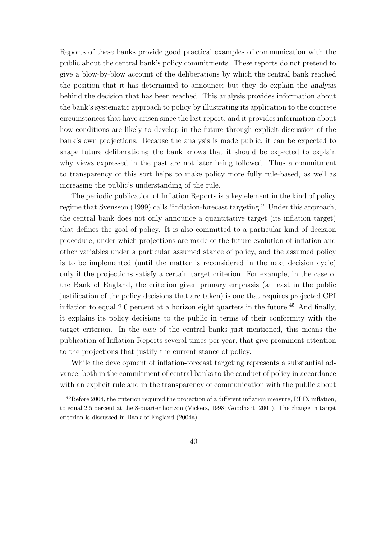Reports of these banks provide good practical examples of communication with the public about the central bank's policy commitments. These reports do not pretend to give a blow-by-blow account of the deliberations by which the central bank reached the position that it has determined to announce; but they do explain the analysis behind the decision that has been reached. This analysis provides information about the bank's systematic approach to policy by illustrating its application to the concrete circumstances that have arisen since the last report; and it provides information about how conditions are likely to develop in the future through explicit discussion of the bank's own projections. Because the analysis is made public, it can be expected to shape future deliberations; the bank knows that it should be expected to explain why views expressed in the past are not later being followed. Thus a commitment to transparency of this sort helps to make policy more fully rule-based, as well as increasing the public's understanding of the rule.

The periodic publication of Inflation Reports is a key element in the kind of policy regime that Svensson (1999) calls "inflation-forecast targeting." Under this approach, the central bank does not only announce a quantitative target (its inflation target) that defines the goal of policy. It is also committed to a particular kind of decision procedure, under which projections are made of the future evolution of inflation and other variables under a particular assumed stance of policy, and the assumed policy is to be implemented (until the matter is reconsidered in the next decision cycle) only if the projections satisfy a certain target criterion. For example, in the case of the Bank of England, the criterion given primary emphasis (at least in the public justification of the policy decisions that are taken) is one that requires projected CPI inflation to equal 2.0 percent at a horizon eight quarters in the future.<sup>45</sup> And finally, it explains its policy decisions to the public in terms of their conformity with the target criterion. In the case of the central banks just mentioned, this means the publication of Inflation Reports several times per year, that give prominent attention to the projections that justify the current stance of policy.

While the development of inflation-forecast targeting represents a substantial advance, both in the commitment of central banks to the conduct of policy in accordance with an explicit rule and in the transparency of communication with the public about

<sup>45</sup>Before 2004, the criterion required the projection of a different inflation measure, RPIX inflation, to equal 2.5 percent at the 8-quarter horizon (Vickers, 1998; Goodhart, 2001). The change in target criterion is discussed in Bank of England (2004a).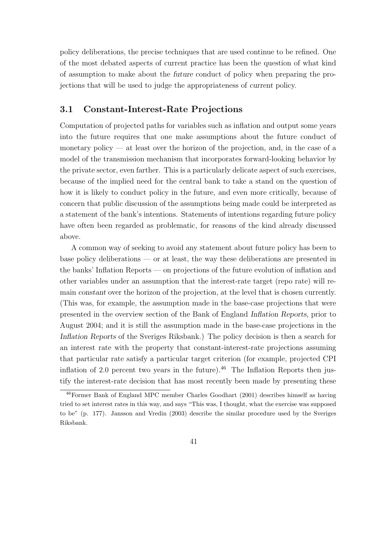policy deliberations, the precise techniques that are used continue to be refined. One of the most debated aspects of current practice has been the question of what kind of assumption to make about the future conduct of policy when preparing the projections that will be used to judge the appropriateness of current policy.

#### 3.1 Constant-Interest-Rate Projections

Computation of projected paths for variables such as inflation and output some years into the future requires that one make assumptions about the future conduct of monetary policy — at least over the horizon of the projection, and, in the case of a model of the transmission mechanism that incorporates forward-looking behavior by the private sector, even farther. This is a particularly delicate aspect of such exercises, because of the implied need for the central bank to take a stand on the question of how it is likely to conduct policy in the future, and even more critically, because of concern that public discussion of the assumptions being made could be interpreted as a statement of the bank's intentions. Statements of intentions regarding future policy have often been regarded as problematic, for reasons of the kind already discussed above.

A common way of seeking to avoid any statement about future policy has been to base policy deliberations — or at least, the way these deliberations are presented in the banks' Inflation Reports — on projections of the future evolution of inflation and other variables under an assumption that the interest-rate target (repo rate) will remain constant over the horizon of the projection, at the level that is chosen currently. (This was, for example, the assumption made in the base-case projections that were presented in the overview section of the Bank of England Inflation Reports, prior to August 2004; and it is still the assumption made in the base-case projections in the Inflation Reports of the Sveriges Riksbank.) The policy decision is then a search for an interest rate with the property that constant-interest-rate projections assuming that particular rate satisfy a particular target criterion (for example, projected CPI inflation of 2.0 percent two years in the future).<sup>46</sup> The Inflation Reports then justify the interest-rate decision that has most recently been made by presenting these

<sup>46</sup>Former Bank of England MPC member Charles Goodhart (2001) describes himself as having tried to set interest rates in this way, and says "This was, I thought, what the exercise was supposed to be" (p. 177). Jansson and Vredin (2003) describe the similar procedure used by the Sveriges Riksbank.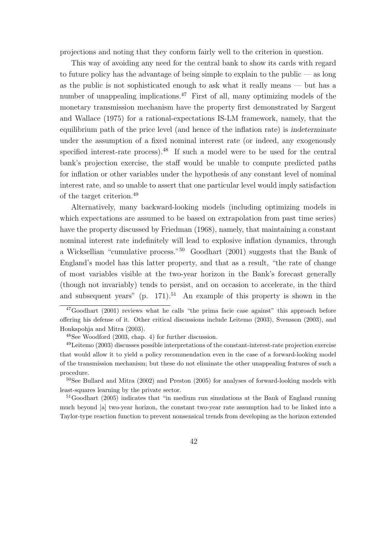projections and noting that they conform fairly well to the criterion in question.

This way of avoiding any need for the central bank to show its cards with regard to future policy has the advantage of being simple to explain to the public — as long as the public is not sophisticated enough to ask what it really means — but has a number of unappealing implications.<sup>47</sup> First of all, many optimizing models of the monetary transmission mechanism have the property first demonstrated by Sargent and Wallace (1975) for a rational-expectations IS-LM framework, namely, that the equilibrium path of the price level (and hence of the inflation rate) is indeterminate under the assumption of a fixed nominal interest rate (or indeed, any exogenously specified interest-rate process).<sup>48</sup> If such a model were to be used for the central bank's projection exercise, the staff would be unable to compute predicted paths for inflation or other variables under the hypothesis of any constant level of nominal interest rate, and so unable to assert that one particular level would imply satisfaction of the target criterion.<sup>49</sup>

Alternatively, many backward-looking models (including optimizing models in which expectations are assumed to be based on extrapolation from past time series) have the property discussed by Friedman (1968), namely, that maintaining a constant nominal interest rate indefinitely will lead to explosive inflation dynamics, through a Wicksellian "cumulative process."<sup>50</sup> Goodhart (2001) suggests that the Bank of England's model has this latter property, and that as a result, "the rate of change of most variables visible at the two-year horizon in the Bank's forecast generally (though not invariably) tends to persist, and on occasion to accelerate, in the third and subsequent years"  $(p. 171).<sup>51</sup>$  An example of this property is shown in the

<sup>50</sup>See Bullard and Mitra (2002) and Preston (2005) for analyses of forward-looking models with least-squares learning by the private sector.

<sup>51</sup>Goodhart (2005) indicates that "in medium run simulations at the Bank of England running much beyond [a] two-year horizon, the constant two-year rate assumption had to be linked into a Taylor-type reaction function to prevent nonsensical trends from developing as the horizon extended

 $47$ Goodhart (2001) reviews what he calls "the prima facie case against" this approach before offering his defense of it. Other critical discussions include Leitemo (2003), Svensson (2003), and Honkapohja and Mitra (2003).

<sup>48</sup>See Woodford (2003, chap. 4) for further discussion.

<sup>49</sup>Leitemo (2003) discusses possible interpretations of the constant-interest-rate projection exercise that would allow it to yield a policy recommendation even in the case of a forward-looking model of the transmission mechanism; but these do not eliminate the other unappealing features of such a procedure.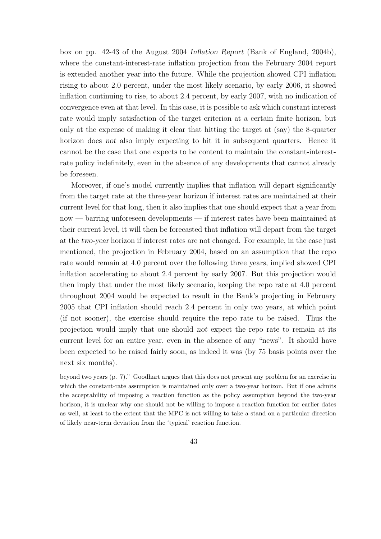box on pp. 42-43 of the August 2004 Inflation Report (Bank of England, 2004b), where the constant-interest-rate inflation projection from the February 2004 report is extended another year into the future. While the projection showed CPI inflation rising to about 2.0 percent, under the most likely scenario, by early 2006, it showed inflation continuing to rise, to about 2.4 percent, by early 2007, with no indication of convergence even at that level. In this case, it is possible to ask which constant interest rate would imply satisfaction of the target criterion at a certain finite horizon, but only at the expense of making it clear that hitting the target at (say) the 8-quarter horizon does not also imply expecting to hit it in subsequent quarters. Hence it cannot be the case that one expects to be content to maintain the constant-interestrate policy indefinitely, even in the absence of any developments that cannot already be foreseen.

Moreover, if one's model currently implies that inflation will depart significantly from the target rate at the three-year horizon if interest rates are maintained at their current level for that long, then it also implies that one should expect that a year from now — barring unforeseen developments — if interest rates have been maintained at their current level, it will then be forecasted that inflation will depart from the target at the two-year horizon if interest rates are not changed. For example, in the case just mentioned, the projection in February 2004, based on an assumption that the repo rate would remain at 4.0 percent over the following three years, implied showed CPI inflation accelerating to about 2.4 percent by early 2007. But this projection would then imply that under the most likely scenario, keeping the repo rate at 4.0 percent throughout 2004 would be expected to result in the Bank's projecting in February 2005 that CPI inflation should reach 2.4 percent in only two years, at which point (if not sooner), the exercise should require the repo rate to be raised. Thus the projection would imply that one should not expect the repo rate to remain at its current level for an entire year, even in the absence of any "news". It should have been expected to be raised fairly soon, as indeed it was (by 75 basis points over the next six months).

beyond two years (p. 7)." Goodhart argues that this does not present any problem for an exercise in which the constant-rate assumption is maintained only over a two-year horizon. But if one admits the acceptability of imposing a reaction function as the policy assumption beyond the two-year horizon, it is unclear why one should not be willing to impose a reaction function for earlier dates as well, at least to the extent that the MPC is not willing to take a stand on a particular direction of likely near-term deviation from the 'typical' reaction function.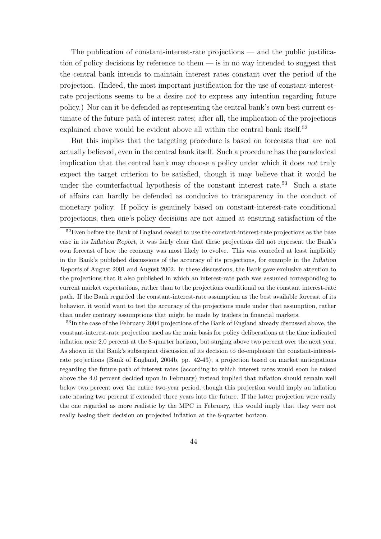The publication of constant-interest-rate projections — and the public justification of policy decisions by reference to them  $-$  is in no way intended to suggest that the central bank intends to maintain interest rates constant over the period of the projection. (Indeed, the most important justification for the use of constant-interestrate projections seems to be a desire not to express any intention regarding future policy.) Nor can it be defended as representing the central bank's own best current estimate of the future path of interest rates; after all, the implication of the projections explained above would be evident above all within the central bank itself.<sup>52</sup>

But this implies that the targeting procedure is based on forecasts that are not actually believed, even in the central bank itself. Such a procedure has the paradoxical implication that the central bank may choose a policy under which it does not truly expect the target criterion to be satisfied, though it may believe that it would be under the counterfactual hypothesis of the constant interest rate.<sup>53</sup> Such a state of affairs can hardly be defended as conducive to transparency in the conduct of monetary policy. If policy is genuinely based on constant-interest-rate conditional projections, then one's policy decisions are not aimed at ensuring satisfaction of the

<sup>53</sup>In the case of the February 2004 projections of the Bank of England already discussed above, the constant-interest-rate projection used as the main basis for policy deliberations at the time indicated inflation near 2.0 percent at the 8-quarter horizon, but surging above two percent over the next year. As shown in the Bank's subsequent discussion of its decision to de-emphasize the constant-interestrate projections (Bank of England, 2004b, pp. 42-43), a projection based on market anticipations regarding the future path of interest rates (according to which interest rates would soon be raised above the 4.0 percent decided upon in February) instead implied that inflation should remain well below two percent over the entire two-year period, though this projection would imply an inflation rate nearing two percent if extended three years into the future. If the latter projection were really the one regarded as more realistic by the MPC in February, this would imply that they were not really basing their decision on projected inflation at the 8-quarter horizon.

<sup>&</sup>lt;sup>52</sup>Even before the Bank of England ceased to use the constant-interest-rate projections as the base case in its Inflation Report, it was fairly clear that these projections did not represent the Bank's own forecast of how the economy was most likely to evolve. This was conceded at least implicitly in the Bank's published discussions of the accuracy of its projections, for example in the Inflation Reports of August 2001 and August 2002. In these discussions, the Bank gave exclusive attention to the projections that it also published in which an interest-rate path was assumed corresponding to current market expectations, rather than to the projections conditional on the constant interest-rate path. If the Bank regarded the constant-interest-rate assumption as the best available forecast of its behavior, it would want to test the accuracy of the projections made under that assumption, rather than under contrary assumptions that might be made by traders in financial markets.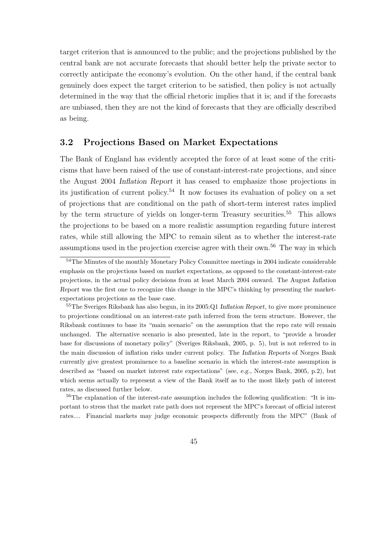target criterion that is announced to the public; and the projections published by the central bank are not accurate forecasts that should better help the private sector to correctly anticipate the economy's evolution. On the other hand, if the central bank genuinely does expect the target criterion to be satisfied, then policy is not actually determined in the way that the official rhetoric implies that it is; and if the forecasts are unbiased, then they are not the kind of forecasts that they are officially described as being.

#### 3.2 Projections Based on Market Expectations

The Bank of England has evidently accepted the force of at least some of the criticisms that have been raised of the use of constant-interest-rate projections, and since the August 2004 Inflation Report it has ceased to emphasize those projections in its justification of current policy.<sup>54</sup> It now focuses its evaluation of policy on a set of projections that are conditional on the path of short-term interest rates implied by the term structure of yields on longer-term Treasury securities.<sup>55</sup> This allows the projections to be based on a more realistic assumption regarding future interest rates, while still allowing the MPC to remain silent as to whether the interest-rate assumptions used in the projection exercise agree with their own.<sup>56</sup> The way in which

<sup>56</sup>The explanation of the interest-rate assumption includes the following qualification: "It is important to stress that the market rate path does not represent the MPC's forecast of official interest rates.... Financial markets may judge economic prospects differently from the MPC" (Bank of

<sup>54</sup>The Minutes of the monthly Monetary Policy Committee meetings in 2004 indicate considerable emphasis on the projections based on market expectations, as opposed to the constant-interest-rate projections, in the actual policy decisions from at least March 2004 onward. The August Inflation Report was the first one to recognize this change in the MPC's thinking by presenting the marketexpectations projections as the base case.

<sup>&</sup>lt;sup>55</sup>The Sveriges Riksbank has also begun, in its 2005:Q1 *Inflation Report*, to give more prominence to projections conditional on an interest-rate path inferred from the term structure. However, the Riksbank continues to base its "main scenario" on the assumption that the repo rate will remain unchanged. The alternative scenario is also presented, late in the report, to "provide a broader base for discussions of monetary policy" (Sveriges Riksbank, 2005, p. 5), but is not referred to in the main discussion of inflation risks under current policy. The Inflation Reports of Norges Bank currently give greatest prominence to a baseline scenario in which the interest-rate assumption is described as "based on market interest rate expectations" (see, e.g., Norges Bank, 2005, p.2), but which seems actually to represent a view of the Bank itself as to the most likely path of interest rates, as discussed further below.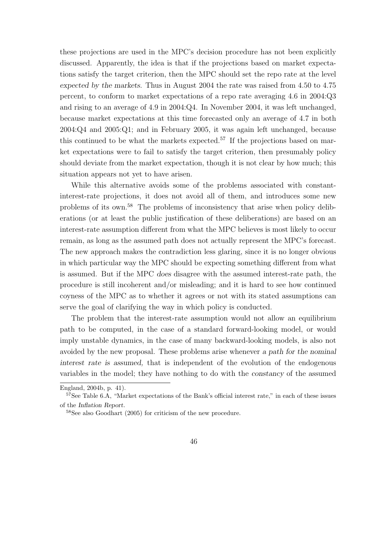these projections are used in the MPC's decision procedure has not been explicitly discussed. Apparently, the idea is that if the projections based on market expectations satisfy the target criterion, then the MPC should set the repo rate at the level expected by the markets. Thus in August 2004 the rate was raised from 4.50 to 4.75 percent, to conform to market expectations of a repo rate averaging 4.6 in 2004:Q3 and rising to an average of 4.9 in 2004:Q4. In November 2004, it was left unchanged, because market expectations at this time forecasted only an average of 4.7 in both 2004:Q4 and 2005:Q1; and in February 2005, it was again left unchanged, because this continued to be what the markets expected.<sup>57</sup> If the projections based on market expectations were to fail to satisfy the target criterion, then presumably policy should deviate from the market expectation, though it is not clear by how much; this situation appears not yet to have arisen.

While this alternative avoids some of the problems associated with constantinterest-rate projections, it does not avoid all of them, and introduces some new problems of its own.<sup>58</sup> The problems of inconsistency that arise when policy deliberations (or at least the public justification of these deliberations) are based on an interest-rate assumption different from what the MPC believes is most likely to occur remain, as long as the assumed path does not actually represent the MPC's forecast. The new approach makes the contradiction less glaring, since it is no longer obvious in which particular way the MPC should be expecting something different from what is assumed. But if the MPC does disagree with the assumed interest-rate path, the procedure is still incoherent and/or misleading; and it is hard to see how continued coyness of the MPC as to whether it agrees or not with its stated assumptions can serve the goal of clarifying the way in which policy is conducted.

The problem that the interest-rate assumption would not allow an equilibrium path to be computed, in the case of a standard forward-looking model, or would imply unstable dynamics, in the case of many backward-looking models, is also not avoided by the new proposal. These problems arise whenever a path for the nominal interest rate is assumed, that is independent of the evolution of the endogenous variables in the model; they have nothing to do with the constancy of the assumed

England, 2004b, p. 41).

<sup>57</sup>See Table 6.A, "Market expectations of the Bank's official interest rate," in each of these issues of the Inflation Report.

<sup>58</sup>See also Goodhart (2005) for criticism of the new procedure.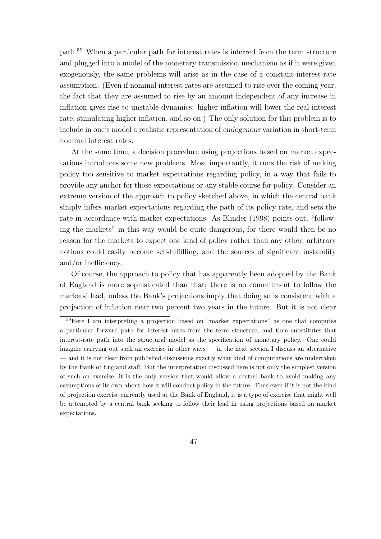path.<sup>59</sup> When a particular path for interest rates is inferred from the term structure and plugged into a model of the monetary transmission mechanism as if it were given exogenously, the same problems will arise as in the case of a constant-interest-rate assumption. (Even if nominal interest rates are assumed to rise over the coming year, the fact that they are assumed to rise by an amount independent of any increase in inflation gives rise to unstable dynamics: higher inflation will lower the real interest rate, stimulating higher inflation, and so on.) The only solution for this problem is to include in one's model a realistic representation of endogenous variation in short-term nominal interest rates.

At the same time, a decision procedure using projections based on market expectations introduces some new problems. Most importantly, it runs the risk of making policy too sensitive to market expectations regarding policy, in a way that fails to provide any anchor for those expectations or any stable course for policy. Consider an extreme version of the approach to policy sketched above, in which the central bank simply infers market expectations regarding the path of its policy rate, and sets the rate in accordance with market expectations. As Blinder (1998) points out, "following the markets" in this way would be quite dangerous, for there would then be no reason for the markets to expect one kind of policy rather than any other; arbitrary notions could easily become self-fulfilling, and the sources of significant instability and/or inefficiency.

Of course, the approach to policy that has apparently been adopted by the Bank of England is more sophisticated than that; there is no commitment to follow the markets' lead, unless the Bank's projections imply that doing so is consistent with a projection of inflation near two percent two years in the future. But it is not clear

<sup>59</sup>Here I am interpreting a projection based on "market expectations" as one that computes a particular forward path for interest rates from the term structure, and then substitutes that interest-rate path into the structural model as the specification of monetary policy. One could imagine carrying out such an exercise in other ways — in the next section I discuss an alternative — and it is not clear from published discussions exactly what kind of computations are undertaken by the Bank of England staff. But the interpretation discussed here is not only the simplest version of such an exercise, it is the only version that would allow a central bank to avoid making any assumptions of its own about how it will conduct policy in the future. Thus even if it is not the kind of projection exercise currently used at the Bank of England, it is a type of exercise that might well be attempted by a central bank seeking to follow their lead in using projections based on market expectations.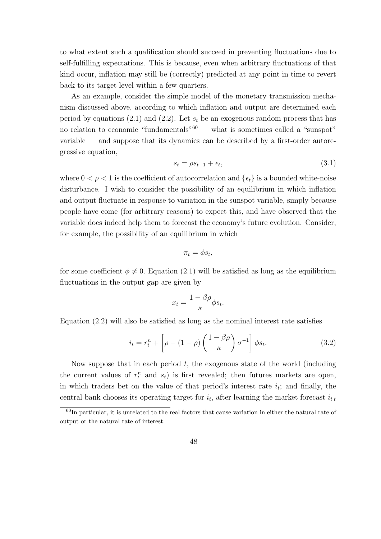to what extent such a qualification should succeed in preventing fluctuations due to self-fulfilling expectations. This is because, even when arbitrary fluctuations of that kind occur, inflation may still be (correctly) predicted at any point in time to revert back to its target level within a few quarters.

As an example, consider the simple model of the monetary transmission mechanism discussed above, according to which inflation and output are determined each period by equations (2.1) and (2.2). Let  $s_t$  be an exogenous random process that has no relation to economic "fundamentals"<sup>60</sup> — what is sometimes called a "sunspot" variable — and suppose that its dynamics can be described by a first-order autoregressive equation,

$$
s_t = \rho s_{t-1} + \epsilon_t,\tag{3.1}
$$

where  $0 < \rho < 1$  is the coefficient of autocorrelation and  $\{\epsilon_t\}$  is a bounded white-noise disturbance. I wish to consider the possibility of an equilibrium in which inflation and output fluctuate in response to variation in the sunspot variable, simply because people have come (for arbitrary reasons) to expect this, and have observed that the variable does indeed help them to forecast the economy's future evolution. Consider, for example, the possibility of an equilibrium in which

$$
\pi_t = \phi s_t,
$$

for some coefficient  $\phi \neq 0$ . Equation (2.1) will be satisfied as long as the equilibrium fluctuations in the output gap are given by

$$
x_t = \frac{1 - \beta \rho}{\kappa} \phi s_t.
$$

Equation (2.2) will also be satisfied as long as the nominal interest rate satisfies

$$
i_t = r_t^n + \left[\rho - (1 - \rho) \left(\frac{1 - \beta \rho}{\kappa}\right) \sigma^{-1}\right] \phi s_t.
$$
 (3.2)

Now suppose that in each period  $t$ , the exogenous state of the world (including the current values of  $r_t^n$  and  $s_t$ ) is first revealed; then futures markets are open, in which traders bet on the value of that period's interest rate  $i_t$ ; and finally, the central bank chooses its operating target for  $i_t$ , after learning the market forecast  $i_{t|t}$ 

<sup>60</sup>In particular, it is unrelated to the real factors that cause variation in either the natural rate of output or the natural rate of interest.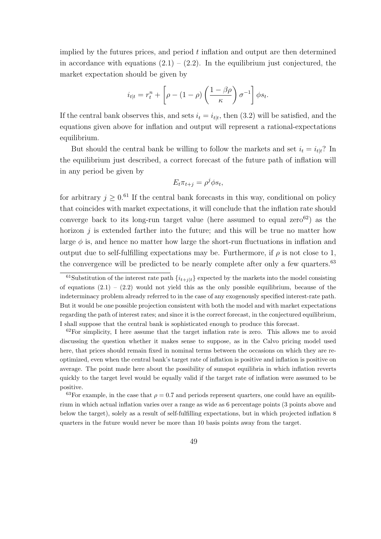implied by the futures prices, and period  $t$  inflation and output are then determined in accordance with equations  $(2.1) - (2.2)$ . In the equilibrium just conjectured, the market expectation should be given by

$$
i_{t|t} = r_t^n + \left[\rho - (1 - \rho) \left(\frac{1 - \beta \rho}{\kappa}\right) \sigma^{-1}\right] \phi s_t.
$$

If the central bank observes this, and sets  $i_t = i_{t|t}$ , then (3.2) will be satisfied, and the equations given above for inflation and output will represent a rational-expectations equilibrium.

But should the central bank be willing to follow the markets and set  $i_t = i_{t|t}$ ? In the equilibrium just described, a correct forecast of the future path of inflation will in any period be given by

$$
E_t \pi_{t+j} = \rho^j \phi s_t,
$$

for arbitrary  $j \geq 0.61$  If the central bank forecasts in this way, conditional on policy that coincides with market expectations, it will conclude that the inflation rate should converge back to its long-run target value (here assumed to equal  $zero^{62}$ ) as the horizon  $j$  is extended farther into the future; and this will be true no matter how large  $\phi$  is, and hence no matter how large the short-run fluctuations in inflation and output due to self-fulfilling expectations may be. Furthermore, if  $\rho$  is not close to 1, the convergence will be predicted to be nearly complete after only a few quarters.<sup>63</sup>

 $62$  For simplicity, I here assume that the target inflation rate is zero. This allows me to avoid discussing the question whether it makes sense to suppose, as in the Calvo pricing model used here, that prices should remain fixed in nominal terms between the occasions on which they are reoptimized, even when the central bank's target rate of inflation is positive and inflation is positive on average. The point made here about the possibility of sunspot equilibria in which inflation reverts quickly to the target level would be equally valid if the target rate of inflation were assumed to be positive.

<sup>63</sup>For example, in the case that  $\rho = 0.7$  and periods represent quarters, one could have an equilibrium in which actual inflation varies over a range as wide as 6 percentage points (3 points above and below the target), solely as a result of self-fulfilling expectations, but in which projected inflation 8 quarters in the future would never be more than 10 basis points away from the target.

<sup>&</sup>lt;sup>61</sup>Substitution of the interest rate path  $\{i_{t+j|t}\}$  expected by the markets into the model consisting of equations  $(2.1) - (2.2)$  would not yield this as the only possible equilibrium, because of the indeterminacy problem already referred to in the case of any exogenously specified interest-rate path. But it would be one possible projection consistent with both the model and with market expectations regarding the path of interest rates; and since it is the correct forecast, in the conjectured equilibrium, I shall suppose that the central bank is sophisticated enough to produce this forecast.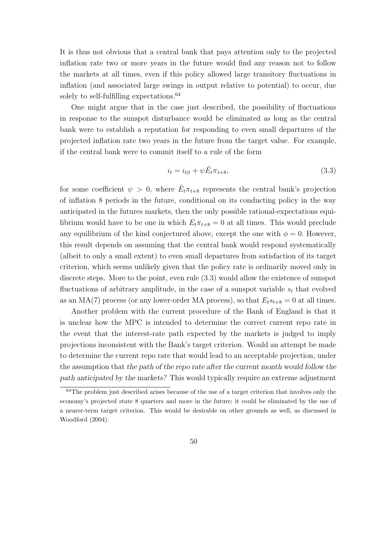It is thus not obvious that a central bank that pays attention only to the projected inflation rate two or more years in the future would find any reason not to follow the markets at all times, even if this policy allowed large transitory fluctuations in inflation (and associated large swings in output relative to potential) to occur, due solely to self-fulfilling expectations.<sup>64</sup>

One might argue that in the case just described, the possibility of fluctuations in response to the sunspot disturbance would be eliminated as long as the central bank were to establish a reputation for responding to even small departures of the projected inflation rate two years in the future from the target value. For example, if the central bank were to commit itself to a rule of the form

$$
i_t = i_{t|t} + \psi \hat{E}_t \pi_{t+8},
$$
\n(3.3)

for some coefficient  $\psi > 0$ , where  $\hat{E}_t \pi_{t+8}$  represents the central bank's projection of inflation 8 periods in the future, conditional on its conducting policy in the way anticipated in the futures markets, then the only possible rational-expectations equilibrium would have to be one in which  $E_t\pi_{t+8} = 0$  at all times. This would preclude any equilibrium of the kind conjectured above, except the one with  $\phi = 0$ . However, this result depends on assuming that the central bank would respond systematically (albeit to only a small extent) to even small departures from satisfaction of its target criterion, which seems unlikely given that the policy rate is ordinarily moved only in discrete steps. More to the point, even rule (3.3) would allow the existence of sunspot fluctuations of arbitrary amplitude, in the case of a sunspot variable  $s_t$  that evolved as an MA(7) process (or any lower-order MA process), so that  $E_t s_{t+8} = 0$  at all times.

Another problem with the current procedure of the Bank of England is that it is unclear how the MPC is intended to determine the correct current repo rate in the event that the interest-rate path expected by the markets is judged to imply projections inconsistent with the Bank's target criterion. Would an attempt be made to determine the current repo rate that would lead to an acceptable projection, under the assumption that the path of the repo rate after the current month would follow the path anticipated by the markets? This would typically require an extreme adjustment

 $64$ The problem just described arises because of the use of a target criterion that involves only the economy's projected state 8 quarters and more in the future; it could be eliminated by the use of a nearer-term target criterion. This would be desirable on other grounds as well, as discussed in Woodford (2004).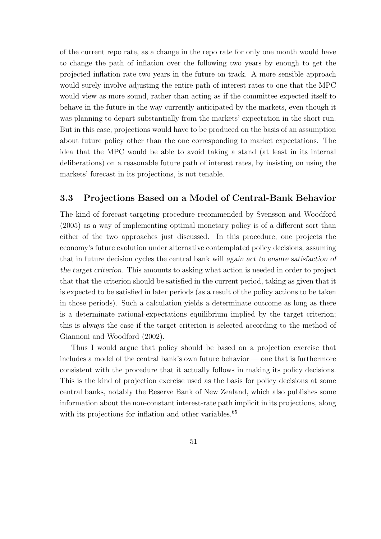of the current repo rate, as a change in the repo rate for only one month would have to change the path of inflation over the following two years by enough to get the projected inflation rate two years in the future on track. A more sensible approach would surely involve adjusting the entire path of interest rates to one that the MPC would view as more sound, rather than acting as if the committee expected itself to behave in the future in the way currently anticipated by the markets, even though it was planning to depart substantially from the markets' expectation in the short run. But in this case, projections would have to be produced on the basis of an assumption about future policy other than the one corresponding to market expectations. The idea that the MPC would be able to avoid taking a stand (at least in its internal deliberations) on a reasonable future path of interest rates, by insisting on using the markets' forecast in its projections, is not tenable.

#### 3.3 Projections Based on a Model of Central-Bank Behavior

The kind of forecast-targeting procedure recommended by Svensson and Woodford (2005) as a way of implementing optimal monetary policy is of a different sort than either of the two approaches just discussed. In this procedure, one projects the economy's future evolution under alternative contemplated policy decisions, assuming that in future decision cycles the central bank will again act to ensure satisfaction of the target criterion. This amounts to asking what action is needed in order to project that that the criterion should be satisfied in the current period, taking as given that it is expected to be satisfied in later periods (as a result of the policy actions to be taken in those periods). Such a calculation yields a determinate outcome as long as there is a determinate rational-expectations equilibrium implied by the target criterion; this is always the case if the target criterion is selected according to the method of Giannoni and Woodford (2002).

Thus I would argue that policy should be based on a projection exercise that includes a model of the central bank's own future behavior — one that is furthermore consistent with the procedure that it actually follows in making its policy decisions. This is the kind of projection exercise used as the basis for policy decisions at some central banks, notably the Reserve Bank of New Zealand, which also publishes some information about the non-constant interest-rate path implicit in its projections, along with its projections for inflation and other variables.<sup>65</sup>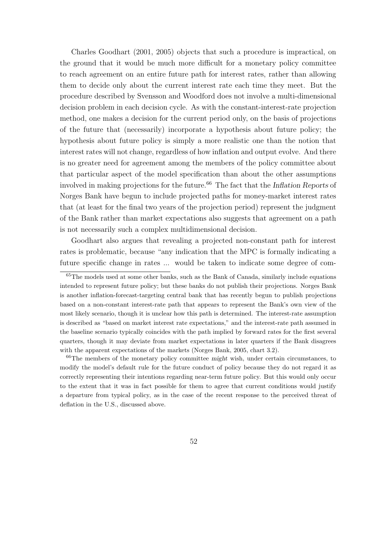Charles Goodhart (2001, 2005) objects that such a procedure is impractical, on the ground that it would be much more difficult for a monetary policy committee to reach agreement on an entire future path for interest rates, rather than allowing them to decide only about the current interest rate each time they meet. But the procedure described by Svensson and Woodford does not involve a multi-dimensional decision problem in each decision cycle. As with the constant-interest-rate projection method, one makes a decision for the current period only, on the basis of projections of the future that (necessarily) incorporate a hypothesis about future policy; the hypothesis about future policy is simply a more realistic one than the notion that interest rates will not change, regardless of how inflation and output evolve. And there is no greater need for agreement among the members of the policy committee about that particular aspect of the model specification than about the other assumptions involved in making projections for the future.<sup>66</sup> The fact that the Inflation Reports of Norges Bank have begun to include projected paths for money-market interest rates that (at least for the final two years of the projection period) represent the judgment of the Bank rather than market expectations also suggests that agreement on a path is not necessarily such a complex multidimensional decision.

Goodhart also argues that revealing a projected non-constant path for interest rates is problematic, because "any indication that the MPC is formally indicating a future specific change in rates ... would be taken to indicate some degree of com-

<sup>66</sup>The members of the monetary policy committee might wish, under certain circumstances, to modify the model's default rule for the future conduct of policy because they do not regard it as correctly representing their intentions regarding near-term future policy. But this would only occur to the extent that it was in fact possible for them to agree that current conditions would justify a departure from typical policy, as in the case of the recent response to the perceived threat of deflation in the U.S., discussed above.

<sup>65</sup>The models used at some other banks, such as the Bank of Canada, similarly include equations intended to represent future policy; but these banks do not publish their projections. Norges Bank is another inflation-forecast-targeting central bank that has recently begun to publish projections based on a non-constant interest-rate path that appears to represent the Bank's own view of the most likely scenario, though it is unclear how this path is determined. The interest-rate assumption is described as "based on market interest rate expectations," and the interest-rate path assumed in the baseline scenario typically coincides with the path implied by forward rates for the first several quarters, though it may deviate from market expectations in later quarters if the Bank disagrees with the apparent expectations of the markets (Norges Bank, 2005, chart 3.2).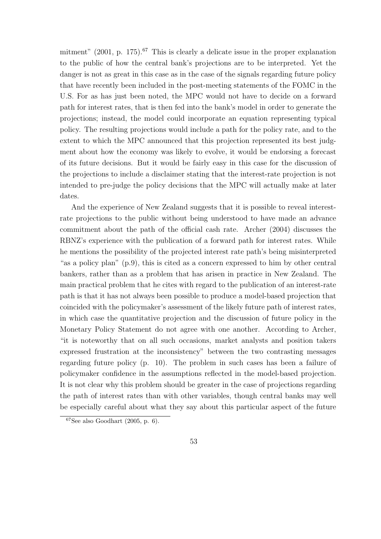mitment" (2001, p. 175).<sup>67</sup> This is clearly a delicate issue in the proper explanation to the public of how the central bank's projections are to be interpreted. Yet the danger is not as great in this case as in the case of the signals regarding future policy that have recently been included in the post-meeting statements of the FOMC in the U.S. For as has just been noted, the MPC would not have to decide on a forward path for interest rates, that is then fed into the bank's model in order to generate the projections; instead, the model could incorporate an equation representing typical policy. The resulting projections would include a path for the policy rate, and to the extent to which the MPC announced that this projection represented its best judgment about how the economy was likely to evolve, it would be endorsing a forecast of its future decisions. But it would be fairly easy in this case for the discussion of the projections to include a disclaimer stating that the interest-rate projection is not intended to pre-judge the policy decisions that the MPC will actually make at later dates.

And the experience of New Zealand suggests that it is possible to reveal interestrate projections to the public without being understood to have made an advance commitment about the path of the official cash rate. Archer (2004) discusses the RBNZ's experience with the publication of a forward path for interest rates. While he mentions the possibility of the projected interest rate path's being misinterpreted "as a policy plan" (p.9), this is cited as a concern expressed to him by other central bankers, rather than as a problem that has arisen in practice in New Zealand. The main practical problem that he cites with regard to the publication of an interest-rate path is that it has not always been possible to produce a model-based projection that coincided with the policymaker's assessment of the likely future path of interest rates, in which case the quantitative projection and the discussion of future policy in the Monetary Policy Statement do not agree with one another. According to Archer, "it is noteworthy that on all such occasions, market analysts and position takers expressed frustration at the inconsistency" between the two contrasting messages regarding future policy (p. 10). The problem in such cases has been a failure of policymaker confidence in the assumptions reflected in the model-based projection. It is not clear why this problem should be greater in the case of projections regarding the path of interest rates than with other variables, though central banks may well be especially careful about what they say about this particular aspect of the future

 $67$ See also Goodhart (2005, p. 6).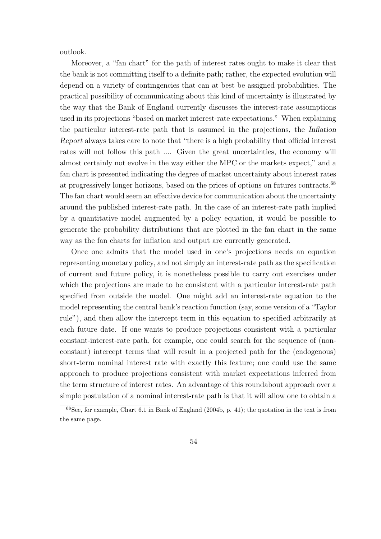outlook.

Moreover, a "fan chart" for the path of interest rates ought to make it clear that the bank is not committing itself to a definite path; rather, the expected evolution will depend on a variety of contingencies that can at best be assigned probabilities. The practical possibility of communicating about this kind of uncertainty is illustrated by the way that the Bank of England currently discusses the interest-rate assumptions used in its projections "based on market interest-rate expectations." When explaining the particular interest-rate path that is assumed in the projections, the Inflation Report always takes care to note that "there is a high probability that official interest rates will not follow this path .... Given the great uncertainties, the economy will almost certainly not evolve in the way either the MPC or the markets expect," and a fan chart is presented indicating the degree of market uncertainty about interest rates at progressively longer horizons, based on the prices of options on futures contracts.<sup>68</sup> The fan chart would seem an effective device for communication about the uncertainty around the published interest-rate path. In the case of an interest-rate path implied by a quantitative model augmented by a policy equation, it would be possible to generate the probability distributions that are plotted in the fan chart in the same way as the fan charts for inflation and output are currently generated.

Once one admits that the model used in one's projections needs an equation representing monetary policy, and not simply an interest-rate path as the specification of current and future policy, it is nonetheless possible to carry out exercises under which the projections are made to be consistent with a particular interest-rate path specified from outside the model. One might add an interest-rate equation to the model representing the central bank's reaction function (say, some version of a "Taylor rule"), and then allow the intercept term in this equation to specified arbitrarily at each future date. If one wants to produce projections consistent with a particular constant-interest-rate path, for example, one could search for the sequence of (nonconstant) intercept terms that will result in a projected path for the (endogenous) short-term nominal interest rate with exactly this feature; one could use the same approach to produce projections consistent with market expectations inferred from the term structure of interest rates. An advantage of this roundabout approach over a simple postulation of a nominal interest-rate path is that it will allow one to obtain a

 $68$ See, for example, Chart 6.1 in Bank of England (2004b, p. 41); the quotation in the text is from the same page.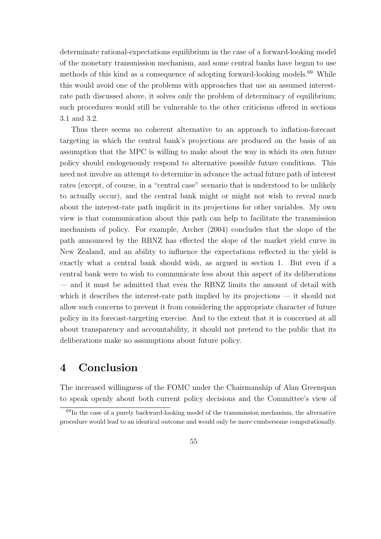determinate rational-expectations equilibrium in the case of a forward-looking model of the monetary transmission mechanism, and some central banks have begun to use methods of this kind as a consequence of adopting forward-looking models.<sup>69</sup> While this would avoid one of the problems with approaches that use an assumed interestrate path discussed above, it solves only the problem of determinacy of equilibrium; such procedures would still be vulnerable to the other criticisms offered in sections 3.1 and 3.2.

Thus there seems no coherent alternative to an approach to inflation-forecast targeting in which the central bank's projections are produced on the basis of an assumption that the MPC is willing to make about the way in which its own future policy should endogenously respond to alternative possible future conditions. This need not involve an attempt to determine in advance the actual future path of interest rates (except, of course, in a "central case" scenario that is understood to be unlikely to actually occur), and the central bank might or might not wish to reveal much about the interest-rate path implicit in its projections for other variables. My own view is that communication about this path can help to facilitate the transmission mechanism of policy. For example, Archer (2004) concludes that the slope of the path announced by the RBNZ has effected the slope of the market yield curve in New Zealand, and an ability to influence the expectations reflected in the yield is exactly what a central bank should wish, as argued in section 1. But even if a central bank were to wish to communicate less about this aspect of its deliberations — and it must be admitted that even the RBNZ limits the amount of detail with which it describes the interest-rate path implied by its projections — it should not allow such concerns to prevent it from considering the appropriate character of future policy in its forecast-targeting exercise. And to the extent that it is concerned at all about transparency and accountability, it should not pretend to the public that its deliberations make no assumptions about future policy.

## 4 Conclusion

The increased willingness of the FOMC under the Chairmanship of Alan Greenspan to speak openly about both current policy decisions and the Committee's view of

<sup>69</sup>In the case of a purely backward-looking model of the transmission mechanism, the alternative procedure would lead to an identical outcome and would only be more cumbersome computationally.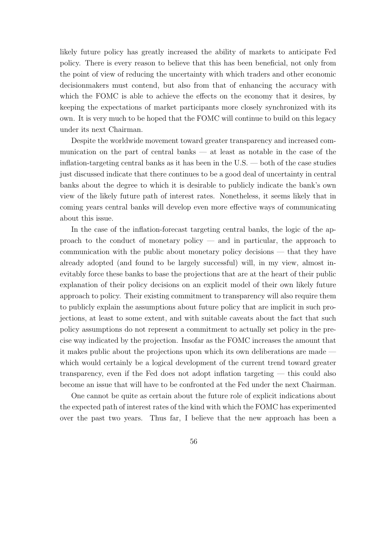likely future policy has greatly increased the ability of markets to anticipate Fed policy. There is every reason to believe that this has been beneficial, not only from the point of view of reducing the uncertainty with which traders and other economic decisionmakers must contend, but also from that of enhancing the accuracy with which the FOMC is able to achieve the effects on the economy that it desires, by keeping the expectations of market participants more closely synchronized with its own. It is very much to be hoped that the FOMC will continue to build on this legacy under its next Chairman.

Despite the worldwide movement toward greater transparency and increased communication on the part of central banks — at least as notable in the case of the inflation-targeting central banks as it has been in the U.S. — both of the case studies just discussed indicate that there continues to be a good deal of uncertainty in central banks about the degree to which it is desirable to publicly indicate the bank's own view of the likely future path of interest rates. Nonetheless, it seems likely that in coming years central banks will develop even more effective ways of communicating about this issue.

In the case of the inflation-forecast targeting central banks, the logic of the approach to the conduct of monetary policy  $-$  and in particular, the approach to communication with the public about monetary policy decisions — that they have already adopted (and found to be largely successful) will, in my view, almost inevitably force these banks to base the projections that are at the heart of their public explanation of their policy decisions on an explicit model of their own likely future approach to policy. Their existing commitment to transparency will also require them to publicly explain the assumptions about future policy that are implicit in such projections, at least to some extent, and with suitable caveats about the fact that such policy assumptions do not represent a commitment to actually set policy in the precise way indicated by the projection. Insofar as the FOMC increases the amount that it makes public about the projections upon which its own deliberations are made which would certainly be a logical development of the current trend toward greater transparency, even if the Fed does not adopt inflation targeting — this could also become an issue that will have to be confronted at the Fed under the next Chairman.

One cannot be quite as certain about the future role of explicit indications about the expected path of interest rates of the kind with which the FOMC has experimented over the past two years. Thus far, I believe that the new approach has been a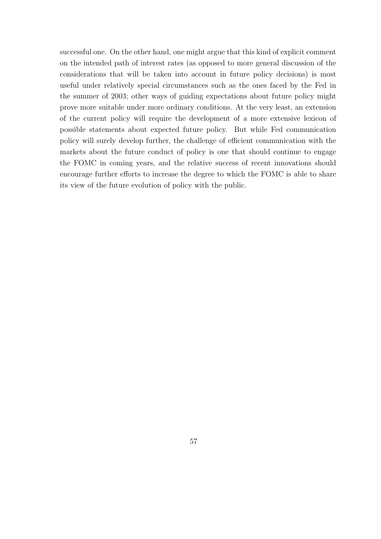successful one. On the other hand, one might argue that this kind of explicit comment on the intended path of interest rates (as opposed to more general discussion of the considerations that will be taken into account in future policy decisions) is most useful under relatively special circumstances such as the ones faced by the Fed in the summer of 2003; other ways of guiding expectations about future policy might prove more suitable under more ordinary conditions. At the very least, an extension of the current policy will require the development of a more extensive lexicon of possible statements about expected future policy. But while Fed communication policy will surely develop further, the challenge of efficient communication with the markets about the future conduct of policy is one that should continue to engage the FOMC in coming years, and the relative success of recent innovations should encourage further efforts to increase the degree to which the FOMC is able to share its view of the future evolution of policy with the public.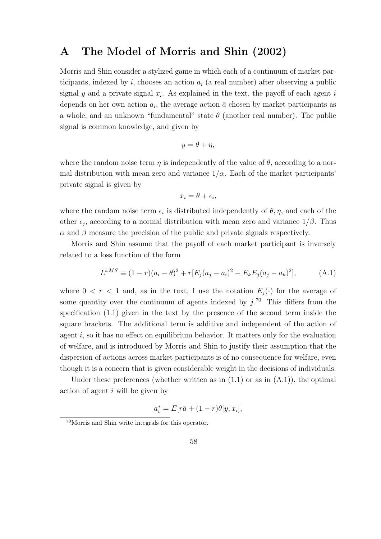### A The Model of Morris and Shin (2002)

Morris and Shin consider a stylized game in which each of a continuum of market participants, indexed by i, chooses an action  $a_i$  (a real number) after observing a public signal  $y$  and a private signal  $x_i$ . As explained in the text, the payoff of each agent  $i$ depends on her own action  $a_i$ , the average action  $\bar{a}$  chosen by market participants as a whole, and an unknown "fundamental" state  $\theta$  (another real number). The public signal is common knowledge, and given by

$$
y = \theta + \eta,
$$

where the random noise term  $\eta$  is independently of the value of  $\theta$ , according to a normal distribution with mean zero and variance  $1/\alpha$ . Each of the market participants' private signal is given by

$$
x_i = \theta + \epsilon_i,
$$

where the random noise term  $\epsilon_i$  is distributed independently of  $\theta$ ,  $\eta$ , and each of the other  $\epsilon_j$ , according to a normal distribution with mean zero and variance  $1/\beta$ . Thus  $\alpha$  and  $\beta$  measure the precision of the public and private signals respectively.

Morris and Shin assume that the payoff of each market participant is inversely related to a loss function of the form

$$
L^{iMS} \equiv (1 - r)(a_i - \theta)^2 + r[E_j(a_j - a_i)^2 - E_k E_j(a_j - a_k)^2], \tag{A.1}
$$

where  $0 < r < 1$  and, as in the text, I use the notation  $E_i(\cdot)$  for the average of some quantity over the continuum of agents indexed by  $j$ .<sup>70</sup> This differs from the specification (1.1) given in the text by the presence of the second term inside the square brackets. The additional term is additive and independent of the action of agent  $i$ , so it has no effect on equilibrium behavior. It matters only for the evaluation of welfare, and is introduced by Morris and Shin to justify their assumption that the dispersion of actions across market participants is of no consequence for welfare, even though it is a concern that is given considerable weight in the decisions of individuals.

Under these preferences (whether written as in  $(1.1)$  or as in  $(A.1)$ ), the optimal action of agent  $i$  will be given by

$$
a_i^* = E[r\bar{a} + (1-r)\theta|y, x_i],
$$

<sup>70</sup>Morris and Shin write integrals for this operator.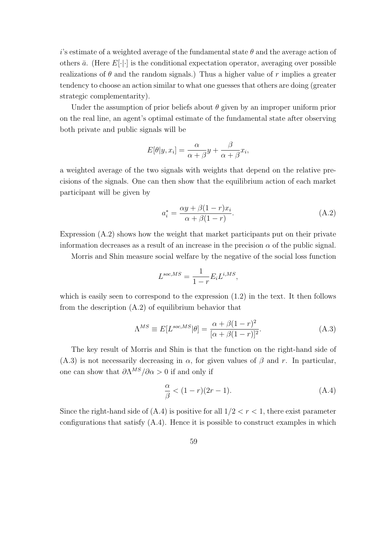i's estimate of a weighted average of the fundamental state  $\theta$  and the average action of others  $\bar{a}$ . (Here  $E[\cdot|\cdot]$  is the conditional expectation operator, averaging over possible realizations of  $\theta$  and the random signals.) Thus a higher value of r implies a greater tendency to choose an action similar to what one guesses that others are doing (greater strategic complementarity).

Under the assumption of prior beliefs about  $\theta$  given by an improper uniform prior on the real line, an agent's optimal estimate of the fundamental state after observing both private and public signals will be

$$
E[\theta|y, x_i] = \frac{\alpha}{\alpha + \beta}y + \frac{\beta}{\alpha + \beta}x_i,
$$

a weighted average of the two signals with weights that depend on the relative precisions of the signals. One can then show that the equilibrium action of each market participant will be given by

$$
a_i^* = \frac{\alpha y + \beta (1 - r) x_i}{\alpha + \beta (1 - r)}.
$$
\n(A.2)

Expression (A.2) shows how the weight that market participants put on their private information decreases as a result of an increase in the precision  $\alpha$  of the public signal.

Morris and Shin measure social welfare by the negative of the social loss function

$$
L^{soc, MS} = \frac{1}{1 - r} E_i L^{i, MS},
$$

which is easily seen to correspond to the expression  $(1.2)$  in the text. It then follows from the description (A.2) of equilibrium behavior that

$$
\Lambda^{MS} \equiv E[L^{soc,MS}|\theta] = \frac{\alpha + \beta(1-r)^2}{[\alpha + \beta(1-r)]^2}.
$$
\n(A.3)

The key result of Morris and Shin is that the function on the right-hand side of (A.3) is not necessarily decreasing in  $\alpha$ , for given values of  $\beta$  and r. In particular, one can show that  $\partial \Lambda^{MS}/\partial \alpha > 0$  if and only if

$$
\frac{\alpha}{\beta} < (1-r)(2r-1). \tag{A.4}
$$

Since the right-hand side of  $(A.4)$  is positive for all  $1/2 < r < 1$ , there exist parameter configurations that satisfy (A.4). Hence it is possible to construct examples in which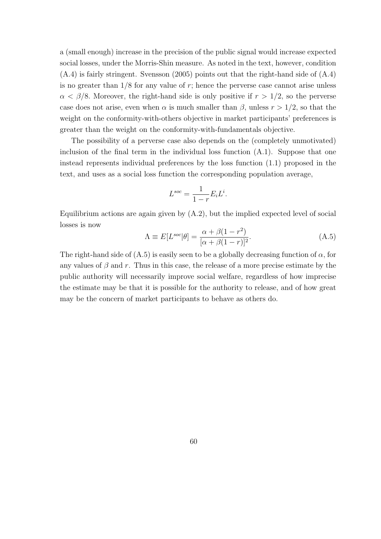a (small enough) increase in the precision of the public signal would increase expected social losses, under the Morris-Shin measure. As noted in the text, however, condition  $(A.4)$  is fairly stringent. Svensson (2005) points out that the right-hand side of  $(A.4)$ is no greater than  $1/8$  for any value of r; hence the perverse case cannot arise unless  $\alpha < \beta/8$ . Moreover, the right-hand side is only positive if  $r > 1/2$ , so the perverse case does not arise, even when  $\alpha$  is much smaller than  $\beta$ , unless  $r > 1/2$ , so that the weight on the conformity-with-others objective in market participants' preferences is greater than the weight on the conformity-with-fundamentals objective.

The possibility of a perverse case also depends on the (completely unmotivated) inclusion of the final term in the individual loss function  $(A.1)$ . Suppose that one instead represents individual preferences by the loss function (1.1) proposed in the text, and uses as a social loss function the corresponding population average,

$$
L^{soc} = \frac{1}{1-r} E_i L^i
$$

Equilibrium actions are again given by (A.2), but the implied expected level of social losses is now

$$
\Lambda \equiv E[L^{soc}|\theta] = \frac{\alpha + \beta(1 - r^2)}{[\alpha + \beta(1 - r)]^2}.
$$
\n(A.5)

.

The right-hand side of  $(A.5)$  is easily seen to be a globally decreasing function of  $\alpha$ , for any values of  $\beta$  and r. Thus in this case, the release of a more precise estimate by the public authority will necessarily improve social welfare, regardless of how imprecise the estimate may be that it is possible for the authority to release, and of how great may be the concern of market participants to behave as others do.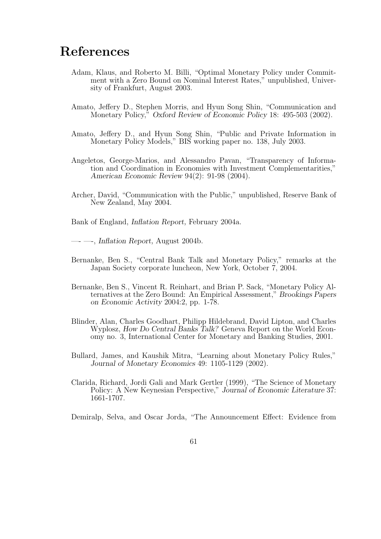## References

- Adam, Klaus, and Roberto M. Billi, "Optimal Monetary Policy under Commitment with a Zero Bound on Nominal Interest Rates," unpublished, University of Frankfurt, August 2003.
- Amato, Jeffery D., Stephen Morris, and Hyun Song Shin, "Communication and Monetary Policy," Oxford Review of Economic Policy 18: 495-503 (2002).
- Amato, Jeffery D., and Hyun Song Shin, "Public and Private Information in Monetary Policy Models," BIS working paper no. 138, July 2003.
- Angeletos, George-Marios, and Alessandro Pavan, "Transparency of Information and Coordination in Economies with Investment Complementarities," American Economic Review 94(2): 91-98 (2004).
- Archer, David, "Communication with the Public," unpublished, Reserve Bank of New Zealand, May 2004.

Bank of England, Inflation Report, February 2004a.

—- —-, Inflation Report, August 2004b.

- Bernanke, Ben S., "Central Bank Talk and Monetary Policy," remarks at the Japan Society corporate luncheon, New York, October 7, 2004.
- Bernanke, Ben S., Vincent R. Reinhart, and Brian P. Sack, "Monetary Policy Alternatives at the Zero Bound: An Empirical Assessment," Brookings Papers on Economic Activity 2004:2, pp. 1-78.
- Blinder, Alan, Charles Goodhart, Philipp Hildebrand, David Lipton, and Charles Wyplosz, How Do Central Banks Talk? Geneva Report on the World Economy no. 3, International Center for Monetary and Banking Studies, 2001.
- Bullard, James, and Kaushik Mitra, "Learning about Monetary Policy Rules," Journal of Monetary Economics 49: 1105-1129 (2002).
- Clarida, Richard, Jordi Gali and Mark Gertler (1999), "The Science of Monetary Policy: A New Keynesian Perspective," Journal of Economic Literature 37: 1661-1707.

Demiralp, Selva, and Oscar Jorda, "The Announcement Effect: Evidence from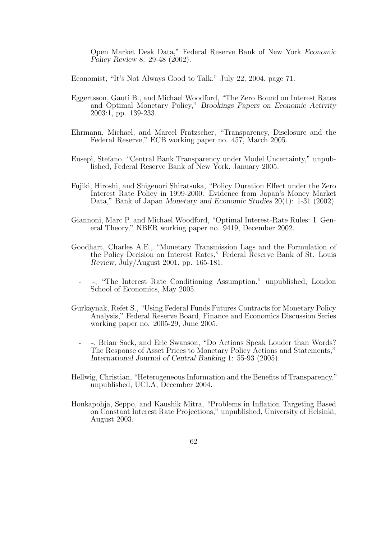Open Market Desk Data," Federal Reserve Bank of New York Economic Policy Review 8: 29-48 (2002).

Economist, "It's Not Always Good to Talk," July 22, 2004, page 71.

- Eggertsson, Gauti B., and Michael Woodford, "The Zero Bound on Interest Rates and Optimal Monetary Policy," Brookings Papers on Economic Activity 2003:1, pp. 139-233.
- Ehrmann, Michael, and Marcel Fratzscher, "Transparency, Disclosure and the Federal Reserve," ECB working paper no. 457, March 2005.
- Eusepi, Stefano, "Central Bank Transparency under Model Uncertainty," unpublished, Federal Reserve Bank of New York, January 2005.
- Fujiki, Hiroshi, and Shigenori Shiratsuka, "Policy Duration Effect under the Zero Interest Rate Policy in 1999-2000: Evidence from Japan's Money Market Data," Bank of Japan Monetary and Economic Studies 20(1): 1-31 (2002).
- Giannoni, Marc P. and Michael Woodford, "Optimal Interest-Rate Rules: I. General Theory," NBER working paper no. 9419, December 2002.
- Goodhart, Charles A.E., "Monetary Transmission Lags and the Formulation of the Policy Decision on Interest Rates," Federal Reserve Bank of St. Louis Review, July/August 2001, pp. 165-181.
- —-, "The Interest Rate Conditioning Assumption," unpublished, London School of Economics, May 2005.
- Gurkaynak, Refet S., "Using Federal Funds Futures Contracts for Monetary Policy Analysis," Federal Reserve Board, Finance and Economics Discussion Series working paper no. 2005-29, June 2005.
- —- —-, Brian Sack, and Eric Swanson, "Do Actions Speak Louder than Words? The Response of Asset Prices to Monetary Policy Actions and Statements," International Journal of Central Banking 1: 55-93 (2005).
- Hellwig, Christian, "Heterogeneous Information and the Benefits of Transparency," unpublished, UCLA, December 2004.
- Honkapohja, Seppo, and Kaushik Mitra, "Problems in Inflation Targeting Based on Constant Interest Rate Projections," unpublished, University of Helsinki, August 2003.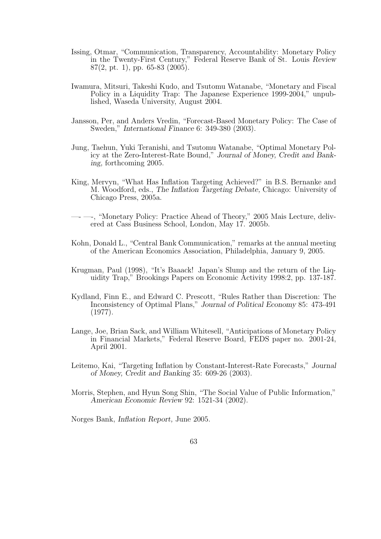- Issing, Otmar, "Communication, Transparency, Accountability: Monetary Policy in the Twenty-First Century," Federal Reserve Bank of St. Louis Review  $87(2, pt. 1)$ , pp. 65-83 (2005).
- Iwamura, Mitsuri, Takeshi Kudo, and Tsutomu Watanabe, "Monetary and Fiscal Policy in a Liquidity Trap: The Japanese Experience 1999-2004," unpublished, Waseda University, August 2004.
- Jansson, Per, and Anders Vredin, "Forecast-Based Monetary Policy: The Case of Sweden," International Finance 6: 349-380 (2003).
- Jung, Taehun, Yuki Teranishi, and Tsutomu Watanabe, "Optimal Monetary Policy at the Zero-Interest-Rate Bound," Journal of Money, Credit and Banking, forthcoming 2005.
- King, Mervyn, "What Has Inflation Targeting Achieved?" in B.S. Bernanke and M. Woodford, eds., The Inflation Targeting Debate, Chicago: University of Chicago Press, 2005a.
- --, "Monetary Policy: Practice Ahead of Theory," 2005 Mais Lecture, delivered at Cass Business School, London, May 17. 2005b.
- Kohn, Donald L., "Central Bank Communication," remarks at the annual meeting of the American Economics Association, Philadelphia, January 9, 2005.
- Krugman, Paul (1998), "It's Baaack! Japan's Slump and the return of the Liquidity Trap," Brookings Papers on Economic Activity 1998:2, pp. 137-187.
- Kydland, Finn E., and Edward C. Prescott, "Rules Rather than Discretion: The Inconsistency of Optimal Plans," Journal of Political Economy 85: 473-491 (1977).
- Lange, Joe, Brian Sack, and William Whitesell, "Anticipations of Monetary Policy in Financial Markets," Federal Reserve Board, FEDS paper no. 2001-24, April 2001.
- Leitemo, Kai, "Targeting Inflation by Constant-Interest-Rate Forecasts," Journal of Money, Credit and Banking 35: 609-26 (2003).
- Morris, Stephen, and Hyun Song Shin, "The Social Value of Public Information," American Economic Review 92: 1521-34 (2002).

Norges Bank, Inflation Report, June 2005.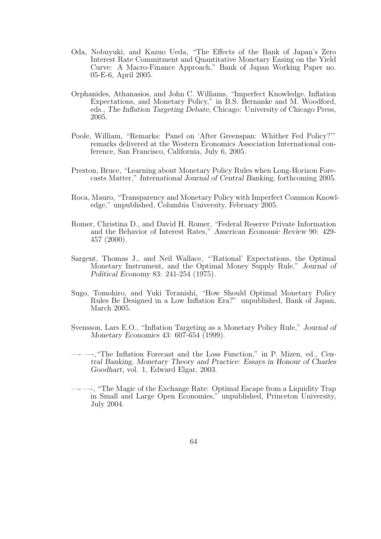- Oda, Nobuyuki, and Kazuo Ueda, "The Effects of the Bank of Japan's Zero Interest Rate Commitment and Quantitative Monetary Easing on the Yield Curve: A Macro-Finance Approach," Bank of Japan Working Paper no. 05-E-6, April 2005.
- Orphanides, Athanasios, and John C. Williams, "Imperfect Knowledge, Inflation Expectations, and Monetary Policy," in B.S. Bernanke and M. Woodford, eds., The Inflation Targeting Debate, Chicago: University of Chicago Press, 2005.
- Poole, William, "Remarks: Panel on 'After Greenspan: Whither Fed Policy?'" remarks delivered at the Western Economics Association International conference, San Francisco, California, July 6, 2005.
- Preston, Bruce, "Learning about Monetary Policy Rules when Long-Horizon Forecasts Matter," International Journal of Central Banking, forthcoming 2005.
- Roca, Mauro, "Transparency and Monetary Policy with Imperfect Common Knowledge," unpublished, Columbia University, February 2005.
- Romer, Christina D., and David H. Romer, "Federal Reserve Private Information and the Behavior of Interest Rates," American Economic Review 90: 429- 457 (2000).
- Sargent, Thomas J., and Neil Wallace, "'Rational' Expectations, the Optimal Monetary Instrument, and the Optimal Money Supply Rule," Journal of Political Economy 83: 241-254 (1975).
- Sugo, Tomohiro, and Yuki Teranishi, "How Should Optimal Monetary Policy Rules Be Designed in a Low Inflation Era?" unpublished, Bank of Japan, March 2005.
- Svensson, Lars E.O., "Inflation Targeting as a Monetary Policy Rule," Journal of Monetary Economics 43: 607-654 (1999).
- —- —-,"The Inflation Forecast and the Loss Function," in P. Mizen, ed., Central Banking, Monetary Theory and Practice: Essays in Honour of Charles Goodhart, vol. 1, Edward Elgar, 2003.
- —- —-, "The Magic of the Exchange Rate: Optimal Escape from a Liquidity Trap in Small and Large Open Economies," unpublished, Princeton University, July 2004.